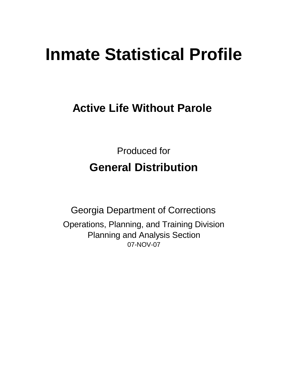# **Inmate Statistical Profile**

**Active Life Without Parole** 

Produced for **General Distribution**

07-NOV-07 Georgia Department of Corrections Operations, Planning, and Training Division Planning and Analysis Section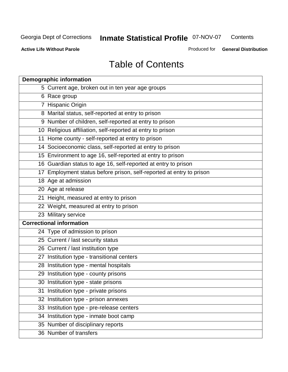**Contents** 

**Active Life Without Parole** 

Produced for **General Distribution**

## Table of Contents

| <b>Demographic information</b>                                       |
|----------------------------------------------------------------------|
| 5 Current age, broken out in ten year age groups                     |
| 6 Race group                                                         |
| 7 Hispanic Origin                                                    |
| 8 Marital status, self-reported at entry to prison                   |
| 9 Number of children, self-reported at entry to prison               |
| 10 Religious affiliation, self-reported at entry to prison           |
| 11 Home county - self-reported at entry to prison                    |
| 14 Socioeconomic class, self-reported at entry to prison             |
| 15 Environment to age 16, self-reported at entry to prison           |
| 16 Guardian status to age 16, self-reported at entry to prison       |
| 17 Employment status before prison, self-reported at entry to prison |
| 18 Age at admission                                                  |
| 20 Age at release                                                    |
| 21 Height, measured at entry to prison                               |
| 22 Weight, measured at entry to prison                               |
| 23 Military service                                                  |
| <b>Correctional information</b>                                      |
| 24 Type of admission to prison                                       |
| 25 Current / last security status                                    |
| 26 Current / last institution type                                   |
| 27 Institution type - transitional centers                           |
| 28 Institution type - mental hospitals                               |
| 29 Institution type - county prisons                                 |
| 30 Institution type - state prisons                                  |
| 31 Institution type - private prisons                                |
| 32 Institution type - prison annexes                                 |
| 33 Institution type - pre-release centers                            |
| 34 Institution type - inmate boot camp                               |
| 35 Number of disciplinary reports                                    |
| 36 Number of transfers                                               |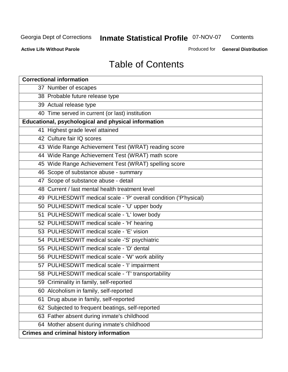**Contents** 

**Active Life Without Parole** 

Produced for **General Distribution**

### Table of Contents

| <b>Correctional information</b>                                  |
|------------------------------------------------------------------|
| 37 Number of escapes                                             |
| 38 Probable future release type                                  |
| 39 Actual release type                                           |
| 40 Time served in current (or last) institution                  |
| Educational, psychological and physical information              |
| 41 Highest grade level attained                                  |
| 42 Culture fair IQ scores                                        |
| 43 Wide Range Achievement Test (WRAT) reading score              |
| 44 Wide Range Achievement Test (WRAT) math score                 |
| 45 Wide Range Achievement Test (WRAT) spelling score             |
| 46 Scope of substance abuse - summary                            |
| 47 Scope of substance abuse - detail                             |
| 48 Current / last mental health treatment level                  |
| 49 PULHESDWIT medical scale - 'P' overall condition ('P'hysical) |
| 50 PULHESDWIT medical scale - 'U' upper body                     |
| 51 PULHESDWIT medical scale - 'L' lower body                     |
| 52 PULHESDWIT medical scale - 'H' hearing                        |
| 53 PULHESDWIT medical scale - 'E' vision                         |
| 54 PULHESDWIT medical scale -'S' psychiatric                     |
| 55 PULHESDWIT medical scale - 'D' dental                         |
| 56 PULHESDWIT medical scale - 'W' work ability                   |
| 57 PULHESDWIT medical scale - 'I' impairment                     |
| 58 PULHESDWIT medical scale - 'T' transportability               |
| 59 Criminality in family, self-reported                          |
| 60 Alcoholism in family, self-reported                           |
| 61 Drug abuse in family, self-reported                           |
| 62 Subjected to frequent beatings, self-reported                 |
| 63 Father absent during inmate's childhood                       |
| 64 Mother absent during inmate's childhood                       |
| <b>Crimes and criminal history information</b>                   |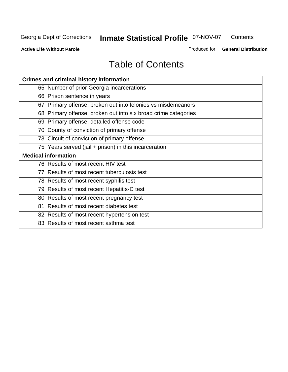**Contents** 

**Active Life Without Parole** 

Produced for **General Distribution**

## Table of Contents

| <b>Crimes and criminal history information</b>                 |
|----------------------------------------------------------------|
| 65 Number of prior Georgia incarcerations                      |
| 66 Prison sentence in years                                    |
| 67 Primary offense, broken out into felonies vs misdemeanors   |
| 68 Primary offense, broken out into six broad crime categories |
| 69 Primary offense, detailed offense code                      |
| 70 County of conviction of primary offense                     |
| 73 Circuit of conviction of primary offense                    |
| 75 Years served (jail + prison) in this incarceration          |
| <b>Medical information</b>                                     |
| 76 Results of most recent HIV test                             |
| 77 Results of most recent tuberculosis test                    |
|                                                                |
| 78 Results of most recent syphilis test                        |
| 79 Results of most recent Hepatitis-C test                     |
| 80 Results of most recent pregnancy test                       |
| 81 Results of most recent diabetes test                        |
| 82 Results of most recent hypertension test                    |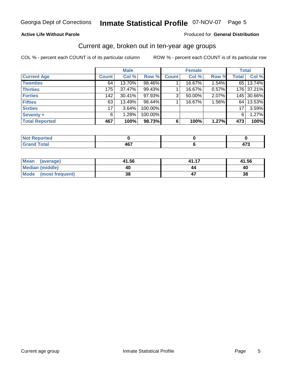#### **Active Life Without Parole**

#### Produced for **General Distribution**

#### Current age, broken out in ten-year age groups

|                       |              | <b>Male</b> |         |              | <b>Female</b> |       |              | <b>Total</b> |
|-----------------------|--------------|-------------|---------|--------------|---------------|-------|--------------|--------------|
| <b>Current Age</b>    | <b>Count</b> | Col %       | Row %   | <b>Count</b> | Col %         | Row % | <b>Total</b> | Col %        |
| <b>Twenties</b>       | 64           | 13.70%      | 98.46%  |              | 16.67%        | 1.54% |              | 65 13.74%    |
| <b>Thirties</b>       | 175          | 37.47%      | 99.43%  |              | 16.67%        | 0.57% |              | 176 37.21%   |
| <b>Forties</b>        | 142          | 30.41%      | 97.93%  | 3            | 50.00%        | 2.07% |              | 145 30.66%   |
| <b>Fifties</b>        | 63           | 13.49%      | 98.44%  |              | 16.67%        | 1.56% |              | 64 13.53%    |
| <b>Sixties</b>        | 17           | 3.64%       | 100.00% |              |               |       | 17           | 3.59%        |
| Seventy +             | 6            | 1.28%       | 100.00% |              |               |       | 6            | 1.27%        |
| <b>Total Reported</b> | 467          | 100%        | 98.73%  | 6            | 100%          | 1.27% | 473          | 100%         |

| Not Reported                                    |            |                      |
|-------------------------------------------------|------------|----------------------|
| <b>Total</b><br><b>Care</b><br>$\mathbf{v}$ and | 167<br>TV. | $\rightarrow$<br>- 1 |

| Mean<br>(average)       | 41.56 | 41.17 | 41.56 |
|-------------------------|-------|-------|-------|
| Median (middle)         | 40    | 44    | 40    |
| Mode<br>(most frequent) | 38    |       | 38    |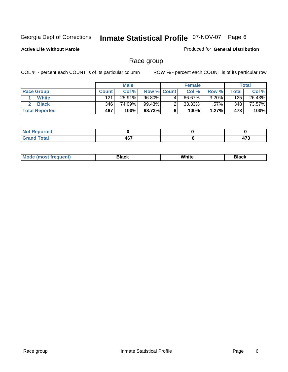#### **Active Life Without Parole**

#### Produced for **General Distribution**

### Race group

|                       |              | <b>Male</b> |                    |   | <b>Female</b> |          |       | <b>Total</b> |
|-----------------------|--------------|-------------|--------------------|---|---------------|----------|-------|--------------|
| <b>Race Group</b>     | <b>Count</b> | Col %       | <b>Row % Count</b> |   | Col %         | Row %    | Total | Col %        |
| White                 | 121          | 25.91%      | 96.80%             | 4 | 66.67%        | $3.20\%$ | 125   | 26.43%       |
| <b>Black</b>          | 346          | 74.09%      | 99.43%             |   | $33.33\%$     | $.57\%$  | 348   | 73.57%       |
| <b>Total Reported</b> | 467          | 100%        | 98.73%             |   | 100%          | $1.27\%$ | 473   | 100%         |

| بالمستقيمات<br>rtea<br>.    |                      |                             |
|-----------------------------|----------------------|-----------------------------|
| $\sim$ $\sim$ $\sim$ $\sim$ | 467<br>$\sim$ $\sim$ | and the control of the con- |

| ' M∩<br>nuemn<br> | Black | White | 3lack |
|-------------------|-------|-------|-------|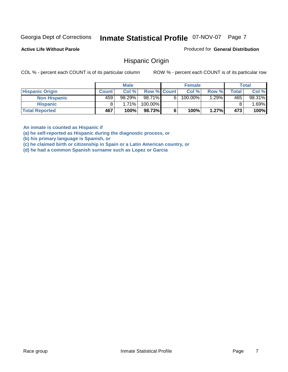**Active Life Without Parole** 

Produced for **General Distribution**

#### Hispanic Origin

COL % - percent each COUNT is of its particular column ROW % - percent each COUNT is of its particular row

|                        |              | <b>Male</b> |                    |    | <b>Female</b> |          |       | <b>Total</b> |
|------------------------|--------------|-------------|--------------------|----|---------------|----------|-------|--------------|
| <b>Hispanic Origin</b> | <b>Count</b> | Col %       | <b>Row % Count</b> |    | Col %         | Row %    | Total | Col %        |
| <b>Non Hispanic</b>    | 459          | $98.29\%$   | 98.71%             | 6. | 100.00%       | $1.29\%$ | 465   | 98.31%       |
| <b>Hispanic</b>        |              | 1.71%       | 100.00%            |    |               |          |       | .69%         |
| <b>Total Reported</b>  | 467          | 100%        | 98.73%             |    | 100%          | 1.27%    | 473   | 100%         |

**An inmate is counted as Hispanic if** 

**(a) he self-reported as Hispanic during the diagnostic process, or** 

**(b) his primary language is Spanish, or** 

**(c) he claimed birth or citizenship in Spain or a Latin American country, or** 

**(d) he had a common Spanish surname such as Lopez or Garcia**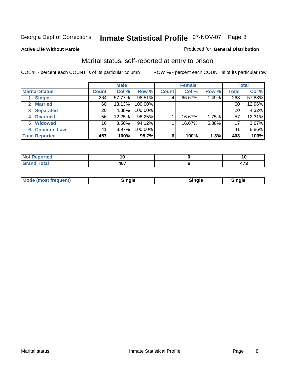#### **Active Life Without Parole**

#### Produced for **General Distribution**

### Marital status, self-reported at entry to prison

|                               | <b>Male</b>  |          |         | <b>Female</b> |        |       | <b>Total</b> |        |
|-------------------------------|--------------|----------|---------|---------------|--------|-------|--------------|--------|
| <b>Marital Status</b>         | <b>Count</b> | Col %    | Row %   | <b>Count</b>  | Col %  | Row % | Total        | Col %  |
| <b>Single</b>                 | 264          | 57.77%   | 98.51%  | 4             | 66.67% | 1.49% | 268          | 57.88% |
| <b>Married</b><br>$2^{\circ}$ | 60           | 13.13%   | 100.00% |               |        |       | 60           | 12.96% |
| <b>Separated</b><br>3         | 20           | 4.38%    | 100.00% |               |        |       | 20           | 4.32%  |
| <b>Divorced</b><br>4          | 56           | 12.25%   | 98.25%  |               | 16.67% | 1.75% | 57           | 12.31% |
| <b>Widowed</b><br>5           | 16           | $3.50\%$ | 94.12%  |               | 16.67% | 5.88% | 17           | 3.67%  |
| <b>Common Law</b><br>6        | 41           | 8.97%    | 100.00% |               |        |       | 41           | 8.86%  |
| <b>Total Reported</b>         | 457          | 100%     | 98.7%   | 6             | 100%   | 1.3%  | 463          | 100%   |

| .                           |            | 1 U |
|-----------------------------|------------|-----|
| $\sim$ $\sim$ $\sim$ $\sim$ | A67<br>$-$ | .   |

| <b>Mode</b><br>uent).<br>en<br><b>IMOST IF</b> | Tim ala<br>sınale | ືnαle∴ | Sinale |  |
|------------------------------------------------|-------------------|--------|--------|--|
|------------------------------------------------|-------------------|--------|--------|--|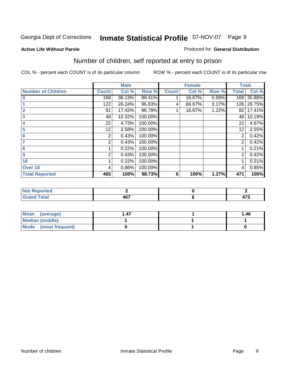#### **Active Life Without Parole**

#### Produced for **General Distribution**

### Number of children, self reported at entry to prison

|                           |              | <b>Male</b> |         |              | <b>Female</b> |       | <b>Total</b>   |        |
|---------------------------|--------------|-------------|---------|--------------|---------------|-------|----------------|--------|
| <b>Number of Children</b> | <b>Count</b> | Col %       | Row %   | <b>Count</b> | Col %         | Row % | <b>Total</b>   | Col %  |
| $\bf{0}$                  | 168          | 36.13%      | 99.41%  |              | 16.67%        | 0.59% | 169            | 35.88% |
|                           | 122          | 26.24%      | 96.83%  | 4            | 66.67%        | 3.17% | 126            | 26.75% |
| $\overline{2}$            | 81           | 17.42%      | 98.78%  |              | 16.67%        | 1.22% | 82             | 17.41% |
| 3                         | 48           | 10.32%      | 100.00% |              |               |       | 48             | 10.19% |
| 4                         | 22           | 4.73%       | 100.00% |              |               |       | 22             | 4.67%  |
| 5                         | 12           | 2.58%       | 100.00% |              |               |       | 12             | 2.55%  |
| $6\phantom{a}$            | 2            | 0.43%       | 100.00% |              |               |       | $\overline{2}$ | 0.42%  |
| 7                         | 2            | 0.43%       | 100.00% |              |               |       | 2              | 0.42%  |
| 8                         |              | 0.22%       | 100.00% |              |               |       |                | 0.21%  |
| 9                         | 2            | 0.43%       | 100.00% |              |               |       | 2              | 0.42%  |
| 10                        |              | 0.22%       | 100.00% |              |               |       |                | 0.21%  |
| Over 10                   | 4            | 0.86%       | 100.00% |              |               |       | 4              | 0.85%  |
| <b>Total Reported</b>     | 465          | 100%        | 98.73%  | 6            | 100%          | 1.27% | 471            | 100%   |

| rtea<br>NO<br>.<br>.          |     |                       |
|-------------------------------|-----|-----------------------|
| $C = 4 - 7$<br>υιαι<br>$\sim$ | "~~ | $\rightarrow$<br>41 J |

| <b>Mean</b><br>(average) | l .47 | 1.46 |
|--------------------------|-------|------|
| <b>Median (middle)</b>   |       |      |
| Mode (most frequent)     |       |      |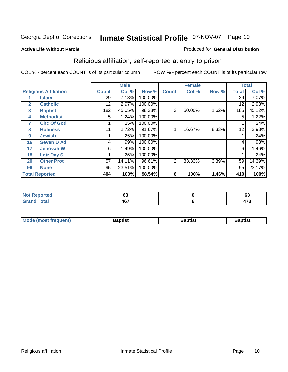#### **Active Life Without Parole**

#### Produced for **General Distribution**

### Religious affiliation, self-reported at entry to prison

|              |                              |                 | <b>Male</b> |         |              | <b>Female</b> |       |              | <b>Total</b> |
|--------------|------------------------------|-----------------|-------------|---------|--------------|---------------|-------|--------------|--------------|
|              | <b>Religious Affiliation</b> | <b>Count</b>    | Col %       | Row %   | <b>Count</b> | Col %         | Row % | <b>Total</b> | Col %        |
|              | <b>Islam</b>                 | $\overline{29}$ | 7.18%       | 100.00% |              |               |       | 29           | 7.07%        |
| $\mathbf{2}$ | <b>Catholic</b>              | 12              | 2.97%       | 100.00% |              |               |       | 12           | 2.93%        |
| 3            | <b>Baptist</b>               | 182             | 45.05%      | 98.38%  | 3            | 50.00%        | 1.62% | 185          | 45.12%       |
| 4            | <b>Methodist</b>             | 5               | 1.24%       | 100.00% |              |               |       | 5            | 1.22%        |
| 7            | <b>Chc Of God</b>            |                 | .25%        | 100.00% |              |               |       |              | .24%         |
| 8            | <b>Holiness</b>              | 11              | 2.72%       | 91.67%  |              | 16.67%        | 8.33% | 12           | 2.93%        |
| 9            | <b>Jewish</b>                |                 | .25%        | 100.00% |              |               |       |              | .24%         |
| 16           | <b>Seven D Ad</b>            | 4               | .99%        | 100.00% |              |               |       | 4            | .98%         |
| 17           | <b>Jehovah Wt</b>            | 6               | 1.49%       | 100.00% |              |               |       | 6            | 1.46%        |
| 18           | <b>Latr Day S</b>            |                 | .25%        | 100.00% |              |               |       |              | .24%         |
| 20           | <b>Other Prot</b>            | 57              | 14.11%      | 96.61%  | 2            | 33.33%        | 3.39% | 59           | 14.39%       |
| 96           | <b>None</b>                  | 95              | 23.51%      | 100.00% |              |               |       | 95           | 23.17%       |
|              | <b>Total Reported</b>        | 404             | 100%        | 98.54%  | 6            | 100%          | 1.46% | 410          | 100%         |

| тео   | ^'<br>vv     | $\overline{\phantom{a}}$<br>ິ |
|-------|--------------|-------------------------------|
| _____ | ""<br>$\sim$ | $\rightarrow$<br>             |

| <b>Mode (most frequent)</b> | 3aptist | Baptist | 3aptist |
|-----------------------------|---------|---------|---------|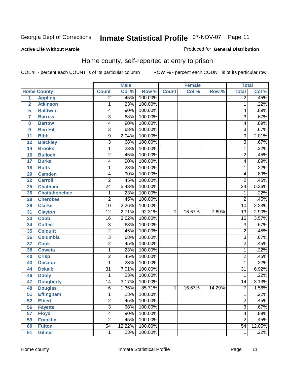#### **Active Life Without Parole**

#### Produced for **General Distribution**

### Home county, self-reported at entry to prison

|                |                      |                  | <b>Male</b> |         |              | <b>Female</b> |        | <b>Total</b>    |        |
|----------------|----------------------|------------------|-------------|---------|--------------|---------------|--------|-----------------|--------|
|                | <b>Home County</b>   | <b>Count</b>     | Col %       | Row %   | <b>Count</b> | Col %         | Row %  | <b>Total</b>    | Col %  |
| $\overline{1}$ | <b>Appling</b>       | $\overline{2}$   | .45%        | 100.00% |              |               |        | $\overline{2}$  | .45%   |
| $\overline{2}$ | <b>Atkinson</b>      | 1                | .23%        | 100.00% |              |               |        | $\mathbf{1}$    | .22%   |
| 5              | <b>Baldwin</b>       | 4                | .90%        | 100.00% |              |               |        | 4               | .89%   |
| $\overline{7}$ | <b>Barrow</b>        | 3                | .68%        | 100.00% |              |               |        | 3               | .67%   |
| 8              | <b>Bartow</b>        | 4                | .90%        | 100.00% |              |               |        | 4               | .89%   |
| 9              | <b>Ben Hill</b>      | 3                | .68%        | 100.00% |              |               |        | $\overline{3}$  | .67%   |
| 11             | <b>Bibb</b>          | $\overline{9}$   | 2.04%       | 100.00% |              |               |        | $\overline{9}$  | 2.01%  |
| 12             | <b>Bleckley</b>      | 3                | .68%        | 100.00% |              |               |        | 3               | .67%   |
| 14             | <b>Brooks</b>        | 1                | .23%        | 100.00% |              |               |        | $\mathbf{1}$    | .22%   |
| 16             | <b>Bulloch</b>       | $\boldsymbol{2}$ | .45%        | 100.00% |              |               |        | $\overline{2}$  | .45%   |
| 17             | <b>Burke</b>         | 4                | .90%        | 100.00% |              |               |        | 4               | .89%   |
| 18             | <b>Butts</b>         | 1                | .23%        | 100.00% |              |               |        | 1               | .22%   |
| 20             | <b>Camden</b>        | 4                | .90%        | 100.00% |              |               |        | 4               | .89%   |
| 22             | <b>Carroll</b>       | $\overline{2}$   | .45%        | 100.00% |              |               |        | $\overline{2}$  | .45%   |
| 25             | <b>Chatham</b>       | $\overline{24}$  | 5.43%       | 100.00% |              |               |        | $\overline{24}$ | 5.36%  |
| 26             | <b>Chattahoochee</b> | 1                | .23%        | 100.00% |              |               |        | 1               | .22%   |
| 28             | <b>Cherokee</b>      | $\overline{2}$   | .45%        | 100.00% |              |               |        | $\overline{2}$  | .45%   |
| 29             | <b>Clarke</b>        | $\overline{10}$  | 2.26%       | 100.00% |              |               |        | $\overline{10}$ | 2.23%  |
| 31             | <b>Clayton</b>       | $\overline{12}$  | 2.71%       | 92.31%  | 1            | 16.67%        | 7.69%  | $\overline{13}$ | 2.90%  |
| 33             | <b>Cobb</b>          | 16               | 3.62%       | 100.00% |              |               |        | $\overline{16}$ | 3.57%  |
| 34             | <b>Coffee</b>        | 3                | .68%        | 100.00% |              |               |        | 3               | .67%   |
| 35             | <b>Colquitt</b>      | $\overline{2}$   | .45%        | 100.00% |              |               |        | $\overline{2}$  | .45%   |
| 36             | <b>Columbia</b>      | $\overline{3}$   | .68%        | 100.00% |              |               |        | $\overline{3}$  | .67%   |
| 37             | <b>Cook</b>          | $\overline{2}$   | .45%        | 100.00% |              |               |        | $\overline{2}$  | .45%   |
| 38             | <b>Coweta</b>        | 1                | .23%        | 100.00% |              |               |        | $\mathbf{1}$    | .22%   |
| 40             | <b>Crisp</b>         | $\overline{2}$   | .45%        | 100.00% |              |               |        | $\overline{2}$  | .45%   |
| 43             | <b>Decatur</b>       | 1                | .23%        | 100.00% |              |               |        | 1               | .22%   |
| 44             | <b>Dekalb</b>        | $\overline{31}$  | 7.01%       | 100.00% |              |               |        | $\overline{31}$ | 6.92%  |
| 46             | <b>Dooly</b>         | 1                | .23%        | 100.00% |              |               |        | 1               | .22%   |
| 47             | <b>Dougherty</b>     | $\overline{14}$  | 3.17%       | 100.00% |              |               |        | 14              | 3.13%  |
| 48             | <b>Douglas</b>       | $\overline{6}$   | 1.36%       | 85.71%  | 1            | 16.67%        | 14.29% | 7               | 1.56%  |
| 51             | <b>Effingham</b>     | 1                | .23%        | 100.00% |              |               |        | $\mathbf{1}$    | .22%   |
| 52             | <b>Elbert</b>        | $\overline{2}$   | .45%        | 100.00% |              |               |        | $\overline{2}$  | .45%   |
| 56             | <b>Fayette</b>       | $\overline{3}$   | .68%        | 100.00% |              |               |        | $\overline{3}$  | .67%   |
| 57             | <b>Floyd</b>         | $\overline{4}$   | .90%        | 100.00% |              |               |        | $\overline{4}$  | .89%   |
| 59             | <b>Franklin</b>      | $\overline{2}$   | .45%        | 100.00% |              |               |        | $\overline{2}$  | .45%   |
| 60             | <b>Fulton</b>        | $\overline{54}$  | 12.22%      | 100.00% |              |               |        | $\overline{54}$ | 12.05% |
| 61             | <b>Gilmer</b>        | 1                | .23%        | 100.00% |              |               |        | 1               | .22%   |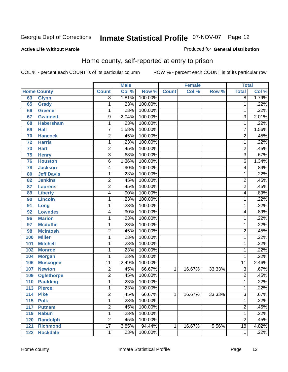#### **Active Life Without Parole**

#### Produced for **General Distribution**

### Home county, self-reported at entry to prison

|     |                    |                 | <b>Male</b> |         |              | <b>Female</b> |        | <b>Total</b>            |       |
|-----|--------------------|-----------------|-------------|---------|--------------|---------------|--------|-------------------------|-------|
|     | <b>Home County</b> | <b>Count</b>    | Col %       | Row %   | <b>Count</b> | Col %         | Row %  | <b>Total</b>            | Col % |
| 63  | <b>Glynn</b>       | 8               | 1.81%       | 100.00% |              |               |        | 8                       | 1.79% |
| 65  | <b>Grady</b>       | 1               | .23%        | 100.00% |              |               |        | 1                       | .22%  |
| 66  | <b>Greene</b>      | 1               | .23%        | 100.00% |              |               |        | 1                       | .22%  |
| 67  | <b>Gwinnett</b>    | 9               | 2.04%       | 100.00% |              |               |        | 9                       | 2.01% |
| 68  | <b>Habersham</b>   | $\mathbf{1}$    | .23%        | 100.00% |              |               |        | 1                       | .22%  |
| 69  | <b>Hall</b>        | $\overline{7}$  | 1.58%       | 100.00% |              |               |        | 7                       | 1.56% |
| 70  | <b>Hancock</b>     | 2               | .45%        | 100.00% |              |               |        | $\overline{2}$          | .45%  |
| 72  | <b>Harris</b>      | 1               | .23%        | 100.00% |              |               |        | 1                       | .22%  |
| 73  | <b>Hart</b>        | 2               | .45%        | 100.00% |              |               |        | $\overline{2}$          | .45%  |
| 75  | <b>Henry</b>       | $\overline{3}$  | .68%        | 100.00% |              |               |        | $\overline{3}$          | .67%  |
| 76  | <b>Houston</b>     | 6               | 1.36%       | 100.00% |              |               |        | 6                       | 1.34% |
| 78  | <b>Jackson</b>     | 4               | .90%        | 100.00% |              |               |        | $\overline{\mathbf{4}}$ | .89%  |
| 80  | <b>Jeff Davis</b>  | 1               | .23%        | 100.00% |              |               |        | 1                       | .22%  |
| 82  | <b>Jenkins</b>     | $\overline{2}$  | .45%        | 100.00% |              |               |        | $\overline{2}$          | .45%  |
| 87  | <b>Laurens</b>     | 2               | .45%        | 100.00% |              |               |        | $\overline{2}$          | .45%  |
| 89  | <b>Liberty</b>     | 4               | .90%        | 100.00% |              |               |        | $\overline{\mathbf{4}}$ | .89%  |
| 90  | <b>Lincoln</b>     | 1               | .23%        | 100.00% |              |               |        | 1                       | .22%  |
| 91  | Long               | 1               | .23%        | 100.00% |              |               |        | 1                       | .22%  |
| 92  | <b>Lowndes</b>     | 4               | .90%        | 100.00% |              |               |        | 4                       | .89%  |
| 96  | <b>Marion</b>      | 1               | .23%        | 100.00% |              |               |        | 1                       | .22%  |
| 97  | <b>Mcduffie</b>    | 1               | .23%        | 100.00% |              |               |        | 1                       | .22%  |
| 98  | <b>Mcintosh</b>    | $\overline{2}$  | .45%        | 100.00% |              |               |        | $\overline{2}$          | .45%  |
| 100 | <b>Miller</b>      | 1               | .23%        | 100.00% |              |               |        | 1                       | .22%  |
| 101 | <b>Mitchell</b>    | 1               | .23%        | 100.00% |              |               |        | 1                       | .22%  |
| 102 | <b>Monroe</b>      | 1               | .23%        | 100.00% |              |               |        | 1                       | .22%  |
| 104 | <b>Morgan</b>      | 1               | .23%        | 100.00% |              |               |        | 1                       | .22%  |
| 106 | <b>Muscogee</b>    | 11              | 2.49%       | 100.00% |              |               |        | $\overline{11}$         | 2.46% |
| 107 | <b>Newton</b>      | $\overline{2}$  | .45%        | 66.67%  | 1            | 16.67%        | 33.33% | $\overline{3}$          | .67%  |
| 109 | <b>Oglethorpe</b>  | 2               | .45%        | 100.00% |              |               |        | $\overline{2}$          | .45%  |
| 110 | <b>Paulding</b>    | 1               | .23%        | 100.00% |              |               |        | 1                       | .22%  |
| 113 | <b>Pierce</b>      | 1               | .23%        | 100.00% |              |               |        | 1                       | .22%  |
| 114 | <b>Pike</b>        | 2               | .45%        | 66.67%  | 1            | 16.67%        | 33.33% | 3                       | .67%  |
| 115 | <b>Polk</b>        | $\mathbf{1}$    | .23%        | 100.00% |              |               |        | 1                       | .22%  |
| 117 | <b>Putnam</b>      | $\overline{2}$  | .45%        | 100.00% |              |               |        | $\overline{2}$          | .45%  |
| 119 | <b>Rabun</b>       | $\overline{1}$  | .23%        | 100.00% |              |               |        | 1                       | .22%  |
| 120 | <b>Randolph</b>    | $\overline{2}$  | .45%        | 100.00% |              |               |        | $\overline{2}$          | .45%  |
| 121 | <b>Richmond</b>    | $\overline{17}$ | 3.85%       | 94.44%  | 1            | 16.67%        | 5.56%  | $\overline{18}$         | 4.02% |
| 122 | <b>Rockdale</b>    | 1               | .23%        | 100.00% |              |               |        | 1                       | .22%  |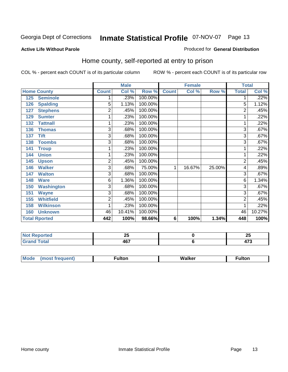#### **Active Life Without Parole**

#### Produced for **General Distribution**

### Home county, self-reported at entry to prison

|     |                      |                | <b>Male</b> |         |              | <b>Female</b> |        | <b>Total</b>   |        |
|-----|----------------------|----------------|-------------|---------|--------------|---------------|--------|----------------|--------|
|     | <b>Home County</b>   | <b>Count</b>   | Col %       | Row %   | <b>Count</b> | Col %         | Row %  | <b>Total</b>   | Col %  |
| 125 | <b>Seminole</b>      | 1              | .23%        | 100.00% |              |               |        | 1              | .22%   |
| 126 | <b>Spalding</b>      | 5              | 1.13%       | 100.00% |              |               |        | 5              | 1.12%  |
| 127 | <b>Stephens</b>      | $\overline{2}$ | .45%        | 100.00% |              |               |        | $\overline{2}$ | .45%   |
| 129 | <b>Sumter</b>        | 1              | .23%        | 100.00% |              |               |        | 1              | .22%   |
| 132 | <b>Tattnall</b>      | 1              | .23%        | 100.00% |              |               |        | 1              | .22%   |
| 136 | <b>Thomas</b>        | 3              | .68%        | 100.00% |              |               |        | 3              | .67%   |
| 137 | <b>Tift</b>          | 3              | .68%        | 100.00% |              |               |        | 3              | .67%   |
| 138 | <b>Toombs</b>        | 3              | .68%        | 100.00% |              |               |        | 3              | .67%   |
| 141 | <b>Troup</b>         | 1              | .23%        | 100.00% |              |               |        | 1              | .22%   |
| 144 | <b>Union</b>         | 1              | .23%        | 100.00% |              |               |        | 1              | .22%   |
| 145 | <b>Upson</b>         | $\overline{c}$ | .45%        | 100.00% |              |               |        | $\overline{2}$ | .45%   |
| 146 | <b>Walker</b>        | $\overline{3}$ | .68%        | 75.00%  | 1            | 16.67%        | 25.00% | 4              | .89%   |
| 147 | <b>Walton</b>        | 3              | .68%        | 100.00% |              |               |        | 3              | .67%   |
| 148 | <b>Ware</b>          | 6              | 1.36%       | 100.00% |              |               |        | 6              | 1.34%  |
| 150 | <b>Washington</b>    | 3              | .68%        | 100.00% |              |               |        | 3              | .67%   |
| 151 | <b>Wayne</b>         | 3              | .68%        | 100.00% |              |               |        | 3              | .67%   |
| 155 | <b>Whitfield</b>     | $\overline{c}$ | .45%        | 100.00% |              |               |        | $\overline{2}$ | .45%   |
| 158 | <b>Wilkinson</b>     | 1              | .23%        | 100.00% |              |               |        | 1              | .22%   |
| 160 | <b>Unknown</b>       | 46             | 10.41%      | 100.00% |              |               |        | 46             | 10.27% |
|     | <b>Total Rported</b> | 442            | 100%        | 98.66%  | 6            | 100%          | 1.34%  | 448            | 100%   |

| المناسبة المست | --                  | ሳር |
|----------------|---------------------|----|
| Reported       | --                  | ∼  |
| ______         | $\sim$<br>1υ<br>$-$ | .  |

| 'N. | w | - ------ |
|-----|---|----------|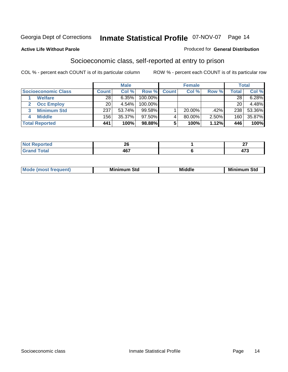#### **Active Life Without Parole**

#### Produced for **General Distribution**

### Socioeconomic class, self-reported at entry to prison

|                            |              | <b>Male</b> |            | <b>Female</b> |           |       |                    | <b>Total</b> |
|----------------------------|--------------|-------------|------------|---------------|-----------|-------|--------------------|--------------|
| <b>Socioeconomic Class</b> | <b>Count</b> | Col %       | Row %      | <b>Count</b>  | Col %     | Row % | Total <sub>I</sub> | Col %        |
| <b>Welfare</b>             | 28           | 6.35%       | 100.00%    |               |           |       | 28                 | 6.28%        |
| <b>Occ Employ</b><br>2     | 20           | 4.54%       | $100.00\%$ |               |           |       | 20                 | 4.48%        |
| <b>Minimum Std</b><br>3    | 237          | 53.74%      | 99.58%     |               | $20.00\%$ | .42%  | 238                | 53.36%       |
| <b>Middle</b>              | 156          | 35.37%      | $97.50\%$  |               | 80.00%    | 2.50% | 160                | 35.87%       |
| <b>Total Reported</b>      | 441          | 100%        | 98.88%     |               | 100%      | 1.12% | 446                | 100%         |

| rted<br>w                           | oc.<br>ZV  | $\sim$ |
|-------------------------------------|------------|--------|
| $f \wedge f \wedge f$<br><b>. .</b> | 167<br>40. | $- -$  |

| Mir<br><b>Middle</b><br>Std<br>Std<br>Mını<br>___ |
|---------------------------------------------------|
|---------------------------------------------------|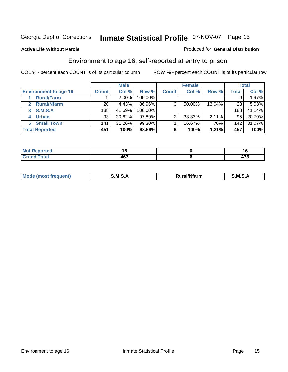#### **Active Life Without Parole**

#### Produced for **General Distribution**

### Environment to age 16, self-reported at entry to prison

|                              | <b>Male</b>      |        | <b>Female</b> |              |        | <b>Total</b> |                  |        |
|------------------------------|------------------|--------|---------------|--------------|--------|--------------|------------------|--------|
| <b>Environment to age 16</b> | <b>Count</b>     | Col %  | Row %         | <b>Count</b> | Col %  | Row %        | Total            | Col %  |
| <b>Rural/Farm</b>            | 9                | 2.00%  | 100.00%       |              |        |              |                  | 1.97%  |
| <b>Rural/Nfarm</b><br>2      | 20               | 4.43%  | 86.96%        | 3            | 50.00% | 13.04%       | 23               | 5.03%  |
| <b>S.M.S.A</b><br>3          | 188 <sub>1</sub> | 41.69% | 100.00%       |              |        |              | 188              | 41.14% |
| <b>Urban</b>                 | 93               | 20.62% | 97.89%        |              | 33.33% | 2.11%        | 95               | 20.79% |
| <b>Small Town</b><br>5.      | 141              | 31.26% | 99.30%        |              | 16.67% | .70%         | 142 <sub>1</sub> | 31.07% |
| <b>Total Reported</b>        | 451              | 100%   | 98.69%        |              | 100%   | 1.31%        | 457              | 100%   |

| <b>rted</b><br>NO.                                   |             |                  |
|------------------------------------------------------|-------------|------------------|
| <b>Total</b><br>$-$ Gr $\approx$<br>$\mathbf{v}$ and | 167<br>י טי | .<br>. .<br>71 v |

| M<br>.<br>$\cdot$ iant'<br>lfarm<br>n.<br>M<br>M |  |  |
|--------------------------------------------------|--|--|
|                                                  |  |  |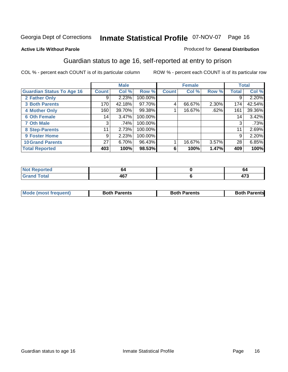#### **Active Life Without Parole**

#### Produced for **General Distribution**

### Guardian status to age 16, self-reported at entry to prison

|                                  |                 | <b>Male</b> |         | <b>Female</b> |        |          |              | <b>Total</b> |
|----------------------------------|-----------------|-------------|---------|---------------|--------|----------|--------------|--------------|
| <b>Guardian Status To Age 16</b> | <b>Count</b>    | Col %       | Row %   | <b>Count</b>  | Col %  | Row %    | <b>Total</b> | Col %        |
| 2 Father Only                    | 9               | 2.23%       | 100.00% |               |        |          | 9            | 2.20%        |
| <b>3 Both Parents</b>            | 170             | 42.18%      | 97.70%  | 4             | 66.67% | $2.30\%$ | 174          | 42.54%       |
| <b>4 Mother Only</b>             | 160             | 39.70%      | 99.38%  |               | 16.67% | .62%     | 161          | 39.36%       |
| <b>6 Oth Female</b>              | 14              | 3.47%       | 100.00% |               |        |          | 14           | 3.42%        |
| <b>7 Oth Male</b>                | 3               | .74%        | 100.00% |               |        |          | 3            | .73%         |
| 8 Step-Parents                   | 11              | 2.73%       | 100.00% |               |        |          | 11           | 2.69%        |
| 9 Foster Home                    | 9               | 2.23%       | 100.00% |               |        |          | 9            | 2.20%        |
| <b>10 Grand Parents</b>          | 27 <sup>1</sup> | 6.70%       | 96.43%  |               | 16.67% | 3.57%    | 28           | 6.85%        |
| <b>Total Reported</b>            | 403             | 100%        | 98.53%  | 6             | 100%   | 1.47%    | 409          | 100%         |

| <b>Analysis</b><br>. | ΩZ                | oσ                     |
|----------------------|-------------------|------------------------|
| <b>Total</b>         | <b>AG7</b><br>TV. | $\rightarrow$<br>ט ו ד |

|  | <b>Mode (most frequent)</b> | <b>Both Parents</b> | <b>Both Parents</b> | <b>Both Parents</b> |
|--|-----------------------------|---------------------|---------------------|---------------------|
|--|-----------------------------|---------------------|---------------------|---------------------|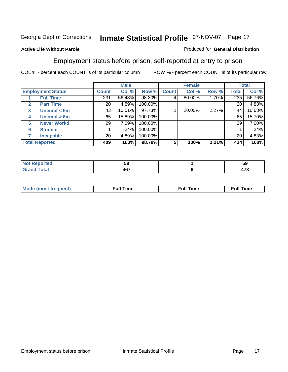#### **Active Life Without Parole**

### Produced for **General Distribution**

### Employment status before prison, self-reported at entry to prison

|                          |                    |              | <b>Male</b> |         | <b>Female</b> |        |       |              | <b>Total</b> |
|--------------------------|--------------------|--------------|-------------|---------|---------------|--------|-------|--------------|--------------|
| <b>Employment Status</b> |                    | <b>Count</b> | Col %       | Row %   | <b>Count</b>  | Col %  | Row % | Total        | Col %        |
|                          | <b>Full Time</b>   | 231          | 56.48%      | 98.30%  | 4             | 80.00% | 1.70% | 235          | 56.76%       |
| $\mathbf{2}$             | <b>Part Time</b>   | 20           | 4.89%       | 100.00% |               |        |       | 20           | 4.83%        |
| 3                        | Unempl $<$ 6m      | 43           | 10.51%      | 97.73%  |               | 20.00% | 2.27% | 44           | 10.63%       |
| 4                        | Unempl $> 6m$      | 65           | 15.89%      | 100.00% |               |        |       | 65           | 15.70%       |
| 5                        | <b>Never Workd</b> | 29           | 7.09%       | 100.00% |               |        |       | 29           | 7.00%        |
| 6                        | <b>Student</b>     |              | .24%        | 100.00% |               |        |       |              | .24%         |
|                          | <b>Incapable</b>   | 20           | 4.89%       | 100.00% |               |        |       | $20^{\circ}$ | 4.83%        |
| <b>Total Reported</b>    |                    | 409          | 100%        | 98.79%  | 5             | 100%   | 1.21% | 414          | 100%         |

| тео   | c<br>ວຍ | -0<br>ວນ |
|-------|---------|----------|
| アーループ | $A$ $6$ | --       |
|       | ישד     | 71 J     |

| <b>Moo.</b><br>ner | . .<br>me<br>uı. | ™e | ïme |
|--------------------|------------------|----|-----|
|                    |                  |    |     |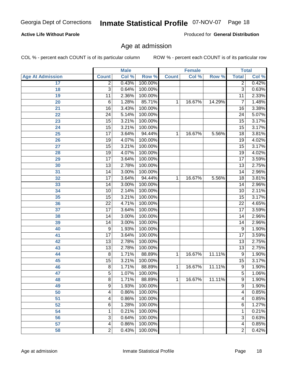#### **Active Life Without Parole**

Produced for **General Distribution**

### Age at admission

|                         |                 | <b>Male</b> |         |              | <b>Female</b> |        | <b>Total</b>    |       |
|-------------------------|-----------------|-------------|---------|--------------|---------------|--------|-----------------|-------|
| <b>Age At Admission</b> | <b>Count</b>    | Col %       | Row %   | <b>Count</b> | Col %         | Row %  | <b>Total</b>    | Col % |
| 17                      | $\overline{2}$  | 0.43%       | 100.00% |              |               |        | 2               | 0.42% |
| 18                      | 3               | 0.64%       | 100.00% |              |               |        | $\overline{3}$  | 0.63% |
| 19                      | 11              | 2.36%       | 100.00% |              |               |        | $\overline{11}$ | 2.33% |
| 20                      | 6               | 1.28%       | 85.71%  | 1            | 16.67%        | 14.29% | 7               | 1.48% |
| $\overline{21}$         | $\overline{16}$ | 3.43%       | 100.00% |              |               |        | $\overline{16}$ | 3.38% |
| $\overline{22}$         | $\overline{24}$ | 5.14%       | 100.00% |              |               |        | $\overline{24}$ | 5.07% |
| 23                      | $\overline{15}$ | 3.21%       | 100.00% |              |               |        | $\overline{15}$ | 3.17% |
| 24                      | $\overline{15}$ | 3.21%       | 100.00% |              |               |        | $\overline{15}$ | 3.17% |
| $\overline{25}$         | $\overline{17}$ | 3.64%       | 94.44%  | 1            | 16.67%        | 5.56%  | $\overline{18}$ | 3.81% |
| 26                      | $\overline{19}$ | 4.07%       | 100.00% |              |               |        | 19              | 4.02% |
| 27                      | $\overline{15}$ | 3.21%       | 100.00% |              |               |        | $\overline{15}$ | 3.17% |
| 28                      | $\overline{19}$ | 4.07%       | 100.00% |              |               |        | $\overline{19}$ | 4.02% |
| 29                      | $\overline{17}$ | 3.64%       | 100.00% |              |               |        | $\overline{17}$ | 3.59% |
| 30                      | $\overline{13}$ | 2.78%       | 100.00% |              |               |        | $\overline{13}$ | 2.75% |
| 31                      | $\overline{14}$ | 3.00%       | 100.00% |              |               |        | $\overline{14}$ | 2.96% |
| 32                      | $\overline{17}$ | 3.64%       | 94.44%  | 1            | 16.67%        | 5.56%  | $\overline{18}$ | 3.81% |
| 33                      | $\overline{14}$ | 3.00%       | 100.00% |              |               |        | 14              | 2.96% |
| 34                      | $\overline{10}$ | 2.14%       | 100.00% |              |               |        | 10              | 2.11% |
| 35                      | $\overline{15}$ | 3.21%       | 100.00% |              |               |        | $\overline{15}$ | 3.17% |
| 36                      | $\overline{22}$ | 4.71%       | 100.00% |              |               |        | $\overline{22}$ | 4.65% |
| 37                      | $\overline{17}$ | 3.64%       | 100.00% |              |               |        | $\overline{17}$ | 3.59% |
| 38                      | $\overline{14}$ | 3.00%       | 100.00% |              |               |        | $\overline{14}$ | 2.96% |
| 39                      | $\overline{14}$ | 3.00%       | 100.00% |              |               |        | $\overline{14}$ | 2.96% |
| 40                      | 9               | 1.93%       | 100.00% |              |               |        | $\overline{9}$  | 1.90% |
| 41                      | $\overline{17}$ | 3.64%       | 100.00% |              |               |        | $\overline{17}$ | 3.59% |
| 42                      | $\overline{13}$ | 2.78%       | 100.00% |              |               |        | $\overline{13}$ | 2.75% |
| 43                      | $\overline{13}$ | 2.78%       | 100.00% |              |               |        | $\overline{13}$ | 2.75% |
| 44                      | 8               | 1.71%       | 88.89%  | 1            | 16.67%        | 11.11% | 9               | 1.90% |
| 45                      | $\overline{15}$ | 3.21%       | 100.00% |              |               |        | $\overline{15}$ | 3.17% |
| 46                      | 8               | 1.71%       | 88.89%  | 1            | 16.67%        | 11.11% | $\overline{9}$  | 1.90% |
| 47                      | $\overline{5}$  | 1.07%       | 100.00% |              |               |        | $\overline{5}$  | 1.06% |
| 48                      | 8               | 1.71%       | 88.89%  | 1            | 16.67%        | 11.11% | 9               | 1.90% |
| 49                      | $\overline{9}$  | 1.93%       | 100.00% |              |               |        | 9               | 1.90% |
| 50                      | 4               | 0.86%       | 100.00% |              |               |        | 4               | 0.85% |
| 51                      | 4               | 0.86%       | 100.00% |              |               |        | 4               | 0.85% |
| 52                      | 6               | 1.28%       | 100.00% |              |               |        | 6               | 1.27% |
| 54                      | 1               | 0.21%       | 100.00% |              |               |        | 1               | 0.21% |
| $\overline{56}$         | 3               | 0.64%       | 100.00% |              |               |        | 3               | 0.63% |
| 57                      | 4               | 0.86%       | 100.00% |              |               |        | 4               | 0.85% |
| 58                      | $\overline{2}$  | 0.43%       | 100.00% |              |               |        | 2               | 0.42% |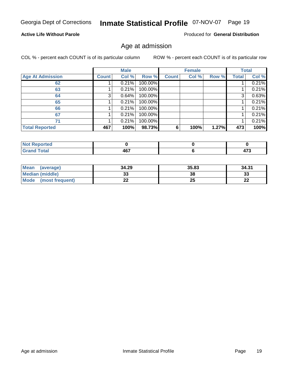#### **Active Life Without Parole**

Produced for **General Distribution**

### Age at admission

|                         |              | <b>Male</b> |         |              | <b>Female</b> |       |       | <b>Total</b> |
|-------------------------|--------------|-------------|---------|--------------|---------------|-------|-------|--------------|
| <b>Age At Admission</b> | <b>Count</b> | Col %       | Row %   | <b>Count</b> | Col %         | Row % | Total | Col %        |
| 62                      |              | 0.21%       | 100.00% |              |               |       |       | 0.21%        |
| 63                      |              | 0.21%       | 100.00% |              |               |       |       | 0.21%        |
| 64                      | 3            | 0.64%       | 100.00% |              |               |       | 3     | 0.63%        |
| 65                      |              | 0.21%       | 100.00% |              |               |       |       | 0.21%        |
| 66                      |              | 0.21%       | 100.00% |              |               |       |       | 0.21%        |
| 67                      |              | 0.21%       | 100.00% |              |               |       |       | 0.21%        |
| 71                      |              | 0.21%       | 100.00% |              |               |       |       | 0.21%        |
| <b>Total Reported</b>   | 467          | 100%        | 98.73%  | 6            | 100%          | 1.27% | 473   | 100%         |

| - - - - - | 167    | $\rightarrow$ |
|-----------|--------|---------------|
|           | $\sim$ | __            |

| Mean (average)       | 34.29 | 35.83 | 34.31     |
|----------------------|-------|-------|-----------|
| Median (middle)      | აა    | 38    | 33        |
| Mode (most frequent) | ∸∸    | 25    | ne.<br>ZZ |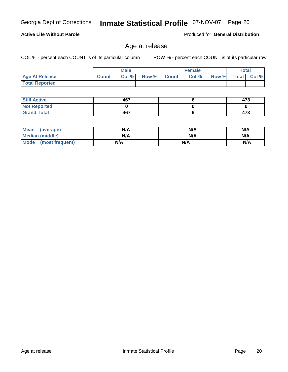**Still Active Not Reported Grand Total**

 **Total Reported**

**Active Life Without Parole** 

| Mean (average)         | N/A | N/A | N/A |
|------------------------|-----|-----|-----|
| <b>Median (middle)</b> | N/A | N/A | N/A |
| Mode (most frequent)   | N/A | N/A | N/A |

 **Age At Release Count Col % Row % Count Col % Row % Total Col %** 

Age at release

**Male**

 **467 0 467**

COL % - percent each COUNT is of its particular column ROW % - percent each COUNT is of its particular row

**Female Total**

Produced for **General Distribution**

 **473 0 473**

 **6 0 6**

### Georgia Dept of Corrections **Inmate Statistical Profile** 07-NOV-07 Page 20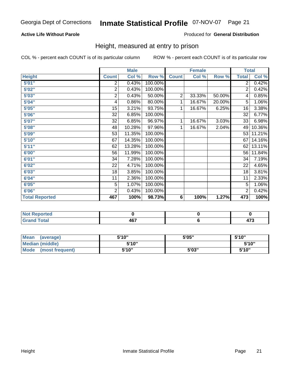#### **Active Life Without Parole**

#### Produced for **General Distribution**

### Height, measured at entry to prison

|                       |                | <b>Male</b> |         |              | <b>Female</b> |        | <b>Total</b>    |        |
|-----------------------|----------------|-------------|---------|--------------|---------------|--------|-----------------|--------|
| <b>Height</b>         | <b>Count</b>   | Col %       | Row %   | <b>Count</b> | Col %         | Row %  | <b>Total</b>    | Col %  |
| 5'01''                | 2              | 0.43%       | 100.00% |              |               |        | $\overline{2}$  | 0.42%  |
| 5'02"                 | $\overline{c}$ | 0.43%       | 100.00% |              |               |        | 2               | 0.42%  |
| 5'03"                 | 2              | 0.43%       | 50.00%  | 2            | 33.33%        | 50.00% | 4               | 0.85%  |
| 5'04"                 | 4              | 0.86%       | 80.00%  | 1            | 16.67%        | 20.00% | 5               | 1.06%  |
| 5'05"                 | 15             | 3.21%       | 93.75%  | 1            | 16.67%        | 6.25%  | 16              | 3.38%  |
| 5'06"                 | 32             | 6.85%       | 100.00% |              |               |        | $\overline{32}$ | 6.77%  |
| 5'07''                | 32             | 6.85%       | 96.97%  | 1            | 16.67%        | 3.03%  | 33              | 6.98%  |
| 5'08"                 | 48             | 10.28%      | 97.96%  | $\mathbf{1}$ | 16.67%        | 2.04%  | 49              | 10.36% |
| 5'09"                 | 53             | 11.35%      | 100.00% |              |               |        | 53              | 11.21% |
| 5'10''                | 67             | 14.35%      | 100.00% |              |               |        | 67              | 14.16% |
| 5'11"                 | 62             | 13.28%      | 100.00% |              |               |        | 62              | 13.11% |
| 6'00"                 | 56             | 11.99%      | 100.00% |              |               |        | 56              | 11.84% |
| 6'01"                 | 34             | 7.28%       | 100.00% |              |               |        | 34              | 7.19%  |
| 6'02''                | 22             | 4.71%       | 100.00% |              |               |        | 22              | 4.65%  |
| 6'03"                 | 18             | 3.85%       | 100.00% |              |               |        | 18              | 3.81%  |
| 6'04"                 | 11             | 2.36%       | 100.00% |              |               |        | 11              | 2.33%  |
| 6'05"                 | $\overline{5}$ | 1.07%       | 100.00% |              |               |        | 5               | 1.06%  |
| 6'06"                 | $\overline{2}$ | 0.43%       | 100.00% |              |               |        | 2               | 0.42%  |
| <b>Total Reported</b> | 467            | 100%        | 98.73%  | $\bf 6$      | 100%          | 1.27%  | 473             | 100%   |

| orted<br>N<br>.                     |     |                       |
|-------------------------------------|-----|-----------------------|
| int<br>$-1$ . $-1$ . $-1$<br>______ | 467 | $\rightarrow$<br>71 J |

| <b>Mean</b><br>(average) | 5'10" | 5'05" | 5'10"  |
|--------------------------|-------|-------|--------|
| Median (middle)          | 5'10" |       | 5'10"  |
| Mode<br>(most frequent)  | 5'10" | 5'03" | 5'10'' |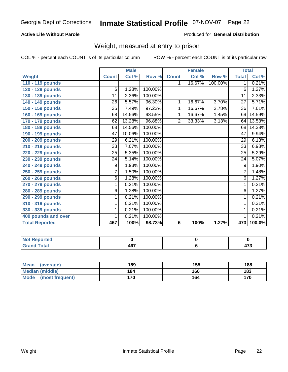#### **Active Life Without Parole**

#### Produced for **General Distribution**

### Weight, measured at entry to prison

|                       |                | <b>Male</b>         |         |                | <b>Female</b> |         | <b>Total</b>    |        |
|-----------------------|----------------|---------------------|---------|----------------|---------------|---------|-----------------|--------|
| Weight                | <b>Count</b>   | Col %               | Row %   | <b>Count</b>   | Col %         | Row %   | <b>Total</b>    | Col %  |
| 110 - 119 pounds      |                |                     |         |                | 16.67%        | 100.00% | $\mathbf 1$     | 0.21%  |
| 120 - 129 pounds      | 6              | 1.28%               | 100.00% |                |               |         | 6               | 1.27%  |
| 130 - 139 pounds      | 11             | 2.36%               | 100.00% |                |               |         | 11              | 2.33%  |
| 140 - 149 pounds      | 26             | 5.57%               | 96.30%  | 1              | 16.67%        | 3.70%   | $\overline{27}$ | 5.71%  |
| 150 - 159 pounds      | 35             | 7.49%               | 97.22%  | 1              | 16.67%        | 2.78%   | 36              | 7.61%  |
| 160 - 169 pounds      | 68             | 14.56%              | 98.55%  | 1              | 16.67%        | 1.45%   | 69              | 14.59% |
| 170 - 179 pounds      | 62             | 13.28%              | 96.88%  | $\overline{2}$ | 33.33%        | 3.13%   | 64              | 13.53% |
| 180 - 189 pounds      | 68             | 14.56%              | 100.00% |                |               |         | 68              | 14.38% |
| 190 - 199 pounds      | 47             | 10.06%              | 100.00% |                |               |         | 47              | 9.94%  |
| 200 - 209 pounds      | 29             | 6.21%               | 100.00% |                |               |         | $\overline{29}$ | 6.13%  |
| 210 - 219 pounds      | 33             | 7.07%               | 100.00% |                |               |         | 33              | 6.98%  |
| 220 - 229 pounds      | 25             | 5.35%               | 100.00% |                |               |         | 25              | 5.29%  |
| 230 - 239 pounds      | 24             | 5.14%               | 100.00% |                |               |         | 24              | 5.07%  |
| 240 - 249 pounds      | 9              | 1.93%               | 100.00% |                |               |         | 9               | 1.90%  |
| 250 - 259 pounds      | $\overline{7}$ | 1.50%               | 100.00% |                |               |         | 7               | 1.48%  |
| 260 - 269 pounds      | 6              | 1.28%               | 100.00% |                |               |         | 6               | 1.27%  |
| 270 - 279 pounds      | 1              | 0.21%               | 100.00% |                |               |         | 1               | 0.21%  |
| 280 - 289 pounds      | $\overline{6}$ | 1.28%               | 100.00% |                |               |         | $\overline{6}$  | 1.27%  |
| 290 - 299 pounds      | 1              | 0.21%               | 100.00% |                |               |         | 1               | 0.21%  |
| 310 - 319 pounds      | 1              | 0.21%               | 100.00% |                |               |         | 1               | 0.21%  |
| 330 - 339 pounds      | 1              | 0.21%               | 100.00% |                |               |         | 1               | 0.21%  |
| 400 pounds and over   | 1              | $0.2\overline{1\%}$ | 100.00% |                |               |         | 1               | 0.21%  |
| <b>Total Reported</b> | 467            | 100%                | 98.73%  | 6              | 100%          | 1.27%   | 473             | 100.0% |

| Reported        |     |      |
|-----------------|-----|------|
| <b>Total</b>    | 167 | ^‴   |
| $- \cdot \cdot$ | וטד | 41 J |

| Mean<br>(average)              | 189 | 155 | 188 |
|--------------------------------|-----|-----|-----|
| <b>Median (middle)</b>         | 184 | 160 | 183 |
| <b>Mode</b><br>(most frequent) | 170 | 164 | 170 |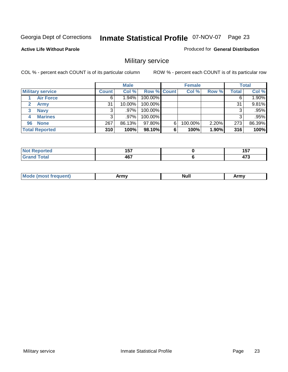#### **Active Life Without Parole**

#### Produced for **General Distribution**

### Military service

|                         |              | <b>Male</b> |             |   | <b>Female</b> |       |              | <b>Total</b> |
|-------------------------|--------------|-------------|-------------|---|---------------|-------|--------------|--------------|
| <b>Military service</b> | <b>Count</b> | Col %       | Row % Count |   | Col %         | Row % | <b>Total</b> | Col %        |
| <b>Air Force</b>        |              | $1.94\%$    | 100.00%     |   |               |       |              | 1.90%        |
| <b>Army</b>             | 31           | 10.00%      | 100.00%     |   |               |       | 31           | 9.81%        |
| <b>Navy</b><br>3        |              | $.97\%$     | 100.00%     |   |               |       | 3            | .95%         |
| <b>Marines</b><br>4     |              | $.97\%$     | 100.00%     |   |               |       | 3            | .95%         |
| <b>None</b><br>96       | 267          | 86.13%      | 97.80%      | 6 | 100.00%       | 2.20% | 273          | 86.39%       |
| <b>Total Reported</b>   | 310          | 100%        | 98.10%      | 6 | 100%          | 1.90% | 316          | 100%         |

| <b><i>Continued the Second Continued</i></b><br>τει | $\overline{a}$ . The set of $\overline{a}$<br>. .<br>.<br>$-$ | ---<br>וטו<br>$\sim$  |
|-----------------------------------------------------|---------------------------------------------------------------|-----------------------|
| ---                                                 | 1C7<br>тv                                                     | $\rightarrow$<br>41 J |

|  | M | -----<br>. | <b>Null</b> | .<br><b>AUTO</b> |
|--|---|------------|-------------|------------------|
|--|---|------------|-------------|------------------|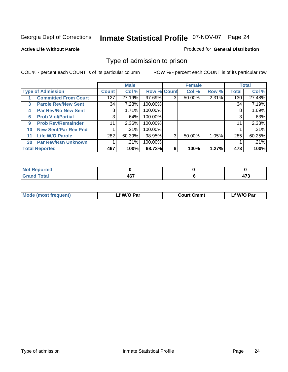#### **Active Life Without Parole**

#### Produced for **General Distribution**

### Type of admission to prison

|    |                             |              | <b>Male</b> |                    |   | <b>Female</b> |       |              | <b>Total</b> |
|----|-----------------------------|--------------|-------------|--------------------|---|---------------|-------|--------------|--------------|
|    | <b>Type of Admission</b>    | <b>Count</b> | Col %       | <b>Row % Count</b> |   | Col %         | Row % | <b>Total</b> | Col %        |
|    | <b>Committed From Court</b> | 127          | 27.19%      | 97.69%             | 3 | 50.00%        | 2.31% | 130          | 27.48%       |
| 3  | <b>Parole Rev/New Sent</b>  | 34           | 7.28%       | 100.00%            |   |               |       | 34           | 7.19%        |
| 4  | <b>Par Rev/No New Sent</b>  | 8            | 1.71%       | 100.00%            |   |               |       | 8            | 1.69%        |
| 6  | <b>Prob Viol/Partial</b>    | 3            | .64%        | 100.00%            |   |               |       | 3            | .63%         |
| 9  | <b>Prob Rev/Remainder</b>   | 11           | 2.36%       | 100.00%            |   |               |       | 11           | 2.33%        |
| 10 | <b>New Sent/Par Rev Pnd</b> |              | .21%        | 100.00%            |   |               |       |              | .21%         |
| 11 | <b>Life W/O Parole</b>      | 282          | 60.39%      | 98.95%             | 3 | 50.00%        | 1.05% | 285          | 60.25%       |
| 30 | <b>Par Rev/Rsn Unknown</b>  |              | .21%        | 100.00%            |   |               |       |              | .21%         |
|    | <b>Total Reported</b>       | 467          | 100%        | 98.73%             | 6 | 100%          | 1.27% | 473          | 100%         |

| eported<br><b>NOT</b><br>.                       |          |               |
|--------------------------------------------------|----------|---------------|
| <b>Total</b><br>Cror<br>$\sim$ . $\sim$ . $\sim$ | ""<br>ль | $\rightarrow$ |

| <b>Mode (most frequent)</b> | f W/O Par | <b>Court Cmmt</b> | `W/O Par |
|-----------------------------|-----------|-------------------|----------|
|                             |           |                   |          |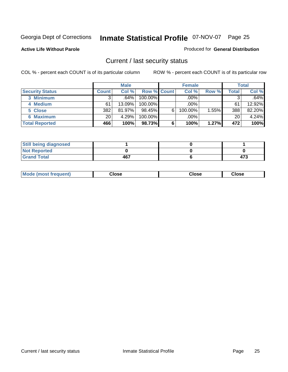#### **Active Life Without Parole**

#### Produced for **General Distribution**

### Current / last security status

|                        | <b>Male</b>  |        |                    | <b>Female</b> |         |       | <b>Total</b> |        |
|------------------------|--------------|--------|--------------------|---------------|---------|-------|--------------|--------|
| <b>Security Status</b> | <b>Count</b> | Col %  | <b>Row % Count</b> |               | Col %   | Row % | Total        | Col %  |
| 3 Minimum              |              | .64%   | 100.00%            |               | .00%    |       |              | .64%   |
| 4 Medium               | 61           | 13.09% | $100.00\%$         |               | $.00\%$ |       | 61           | 12.92% |
| 5 Close                | 382          | 81.97% | 98.45%             | 6             | 100.00% | 1.55% | 388          | 82.20% |
| 6 Maximum              | 20           | 4.29%  | 100.00%            |               | $.00\%$ |       | 20           | 4.24%  |
| <b>Total Reported</b>  | 466          | 100%   | 98.73%             | 6             | 100%    | 1.27% | 472          | 100%   |

| <b>Still being diagnosed</b> |     |     |
|------------------------------|-----|-----|
| <b>Not Reported</b>          |     |     |
| <b>Grand Total</b>           | 467 | 473 |

| Mode (most frequent)<br>Close<br>oseت<br>Close |
|------------------------------------------------|
|------------------------------------------------|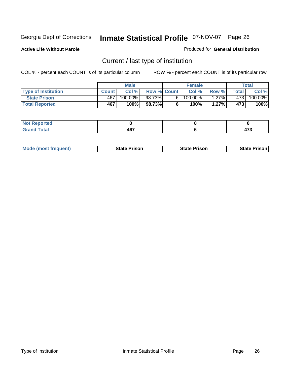**Active Life Without Parole** 

Produced for **General Distribution**

### Current / last type of institution

|                            |              | <b>Male</b> |                    |    | <b>Female</b> |         |       | <b>Total</b>          |
|----------------------------|--------------|-------------|--------------------|----|---------------|---------|-------|-----------------------|
| <b>Type of Institution</b> | <b>Count</b> | Col %       | <b>Row % Count</b> |    | Col %         | Row %   | Total | Col %                 |
| <b>State Prison</b>        | 467          | $100.00\%$  | 98.73%             | 61 | $100.00\%$    | $.27\%$ | 4731  | $100.\overline{00\%}$ |
| <b>Total Reported</b>      | 467          | 100%        | 98.73%             |    | 100%          | 1.27%   | 473   | 100%                  |

| <b>Reported</b><br>$\sim$<br>. |            |       |
|--------------------------------|------------|-------|
| _____                          | 167<br>$-$ | $- -$ |

|  | <b>Mode (most frequent)</b> | <b>State Prison</b> | <b>State Prison</b> | <b>State Prison</b> |
|--|-----------------------------|---------------------|---------------------|---------------------|
|--|-----------------------------|---------------------|---------------------|---------------------|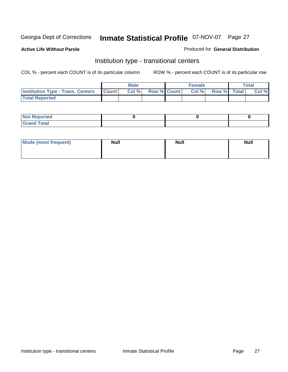**Active Life Without Parole** 

#### Produced for **General Distribution**

### Institution type - transitional centers

|                                                  | <b>Male</b> |                    | <b>Female</b> |                    | <b>Total</b> |
|--------------------------------------------------|-------------|--------------------|---------------|--------------------|--------------|
| <b>Institution Type - Trans. Centers Count  </b> | $CoI\,\%$   | <b>Row % Count</b> | Col %         | <b>Row %</b> Total | Col %        |
| <b>Total Reported</b>                            |             |                    |               |                    |              |

| orted<br>n a<br>$\sim$     |  |  |
|----------------------------|--|--|
| .'ota'<br>$-1$ un<br>_____ |  |  |

| Mode (most frequent) | <b>Null</b> | <b>Null</b> | <b>Null</b> |
|----------------------|-------------|-------------|-------------|
|                      |             |             |             |
|                      |             |             |             |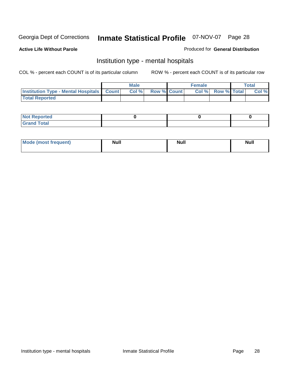#### **Active Life Without Parole**

#### Produced for **General Distribution**

### Institution type - mental hospitals

|                                                  | <b>Male</b> |       |                    | <b>Female</b> |  |                   | Total |       |
|--------------------------------------------------|-------------|-------|--------------------|---------------|--|-------------------|-------|-------|
| <b>Institution Type - Mental Hospitals Count</b> |             | Col % | <b>Row % Count</b> |               |  | Col % Row % Total |       | Col % |
| <b>Total Reported</b>                            |             |       |                    |               |  |                   |       |       |

| <b>Not Reported</b> |  |  |
|---------------------|--|--|
| <b>Total</b><br>r.  |  |  |

| Mode (most frequent) | <b>Null</b> | <b>Null</b> | <b>Null</b> |
|----------------------|-------------|-------------|-------------|
|                      |             |             |             |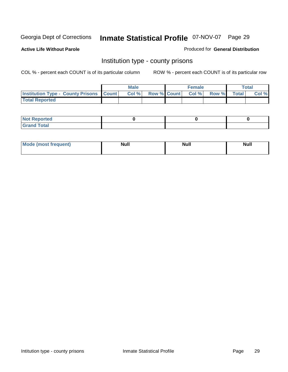**Active Life Without Parole** 

Produced for **General Distribution**

### Institution type - county prisons

|                                                    | <b>Male</b> |       |  | <b>Female</b> |                          |       | Total        |       |
|----------------------------------------------------|-------------|-------|--|---------------|--------------------------|-------|--------------|-------|
| <b>Institution Type - County Prisons   Count  </b> |             | Col % |  |               | <b>Row % Count Col %</b> | Row % | <b>Total</b> | Col % |
| <b>Total Reported</b>                              |             |       |  |               |                          |       |              |       |

| <b>Not</b><br>Reported      |  |  |
|-----------------------------|--|--|
| d Total<br>'Grand<br>$\sim$ |  |  |

| <b>Mode</b><br><b>ost frequent)</b> | <b>Null</b> | <b>Modl</b><br>'YUI. | <b>Null</b> |
|-------------------------------------|-------------|----------------------|-------------|
|                                     |             |                      |             |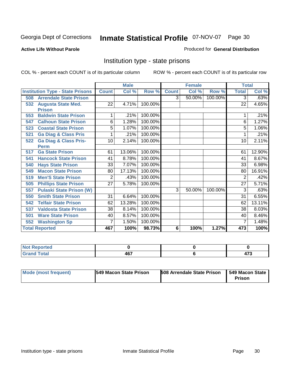#### **Active Life Without Parole**

#### Produced for **General Distribution**

### Institution type - state prisons

|                                         |                 | <b>Male</b> |         | <b>Female</b>  |        |         | <b>Total</b>    |        |
|-----------------------------------------|-----------------|-------------|---------|----------------|--------|---------|-----------------|--------|
| <b>Institution Type - State Prisons</b> | <b>Count</b>    | Col %       | Row %   | <b>Count</b>   | Col %  | Row %   | <b>Total</b>    | Col %  |
| <b>Arrendale State Prison</b><br>508    |                 |             |         | $\overline{3}$ | 50.00% | 100.00% | 3               | .63%   |
| <b>Augusta State Med.</b><br>532        | $\overline{22}$ | 4.71%       | 100.00% |                |        |         | $\overline{22}$ | 4.65%  |
| <b>Prison</b>                           |                 |             |         |                |        |         |                 |        |
| <b>Baldwin State Prison</b><br>553      | 1               | .21%        | 100.00% |                |        |         | 1               | .21%   |
| <b>Calhoun State Prison</b><br>547      | 6               | 1.28%       | 100.00% |                |        |         | 6               | 1.27%  |
| <b>Coastal State Prison</b><br>523      | 5               | 1.07%       | 100.00% |                |        |         | 5               | 1.06%  |
| <b>Ga Diag &amp; Class Pris</b><br>521  | 1               | .21%        | 100.00% |                |        |         | 1               | .21%   |
| <b>Ga Diag &amp; Class Pris-</b><br>522 | 10              | 2.14%       | 100.00% |                |        |         | 10              | 2.11%  |
| <b>Perm</b>                             |                 |             |         |                |        |         |                 |        |
| <b>Ga State Prison</b><br>517           | 61              | 13.06%      | 100.00% |                |        |         | 61              | 12.90% |
| <b>Hancock State Prison</b><br>541      | 41              | 8.78%       | 100.00% |                |        |         | 41              | 8.67%  |
| <b>Hays State Prison</b><br>540         | 33              | 7.07%       | 100.00% |                |        |         | 33              | 6.98%  |
| <b>Macon State Prison</b><br>549        | 80              | 17.13%      | 100.00% |                |        |         | 80              | 16.91% |
| <b>Men'S State Prison</b><br>519        | 2               | .43%        | 100.00% |                |        |         | $\overline{2}$  | .42%   |
| <b>Phillips State Prison</b><br>505     | 27              | 5.78%       | 100.00% |                |        |         | 27              | 5.71%  |
| <b>Pulaski State Prison (W)</b><br>557  |                 |             |         | 3              | 50.00% | 100.00% | 3               | .63%   |
| <b>Smith State Prison</b><br>550        | 31              | 6.64%       | 100.00% |                |        |         | 31              | 6.55%  |
| <b>Telfair State Prison</b><br>542      | 62              | 13.28%      | 100.00% |                |        |         | 62              | 13.11% |
| <b>Valdosta State Prison</b><br>537     | 38              | 8.14%       | 100.00% |                |        |         | 38              | 8.03%  |
| <b>Ware State Prison</b><br>501         | 40              | 8.57%       | 100.00% |                |        |         | 40              | 8.46%  |
| <b>Washington Sp</b><br>552             | 7               | 1.50%       | 100.00% |                |        |         | 7               | 1.48%  |
| <b>Total Reported</b>                   | 467             | 100%        | 98.73%  | 6              | 100%   | 1.27%   | 473             | 100%   |

| المناسب<br>тес<br>'N<br>. |     |               |
|---------------------------|-----|---------------|
| Cofer <sup>2</sup>        | AB  | $\rightarrow$ |
|                           | ישד | $\sim$        |

| Mode (most frequent) | <b>1549 Macon State Prison</b> | <b>508 Arrendale State Prison</b> | <b>549 Macon State I</b><br><b>Prison</b> |
|----------------------|--------------------------------|-----------------------------------|-------------------------------------------|
|----------------------|--------------------------------|-----------------------------------|-------------------------------------------|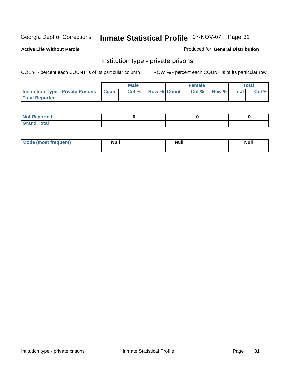#### **Active Life Without Parole**

#### Produced for **General Distribution**

### Institution type - private prisons

|                                                 | <b>Male</b> |      |                    | <b>Female</b> |      |                    | <b>Total</b> |       |
|-------------------------------------------------|-------------|------|--------------------|---------------|------|--------------------|--------------|-------|
| <b>Institution Type - Private Prisons Count</b> |             | Col% | <b>Row % Count</b> |               | Col% | <b>Row %</b> Total |              | Col % |
| <b>Total Reported</b>                           |             |      |                    |               |      |                    |              |       |

| <b>Not Reported</b>               |  |  |
|-----------------------------------|--|--|
| <b>Total</b><br>$C$ rar<br>$\sim$ |  |  |

| Mode (most frequent) | <b>Null</b> | <b>Null</b> | Null |
|----------------------|-------------|-------------|------|
|                      |             |             |      |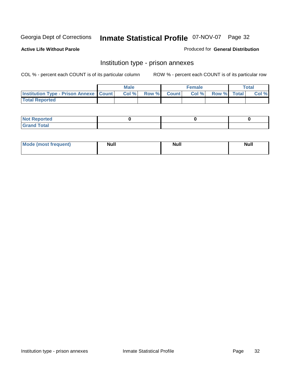**Active Life Without Parole** 

Produced for **General Distribution**

#### Institution type - prison annexes

|                                                   | <b>Male</b> |       |  | <b>Female</b> |       |             | Total |       |
|---------------------------------------------------|-------------|-------|--|---------------|-------|-------------|-------|-------|
| <b>Institution Type - Prison Annexe   Count  </b> |             | Col % |  | Row % Count   | Col % | Row % Total |       | Col % |
| <b>Total Reported</b>                             |             |       |  |               |       |             |       |       |

| $N$ nt R<br>Reported         |  |  |
|------------------------------|--|--|
| <b>Total</b><br><b>Grano</b> |  |  |

| Mode (most frequent) | <b>Null</b> | <b>Null</b> | <b>Null</b> |
|----------------------|-------------|-------------|-------------|
|                      |             |             |             |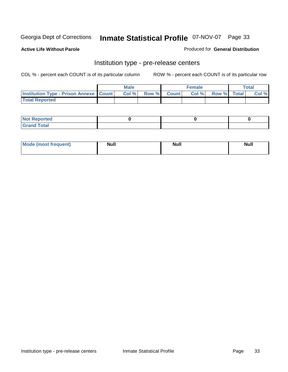**Active Life Without Parole** 

Produced for **General Distribution**

### Institution type - pre-release centers

|                                                   | <b>Male</b> |       |  | <b>Female</b> |      |             | Total |       |
|---------------------------------------------------|-------------|-------|--|---------------|------|-------------|-------|-------|
| <b>Institution Type - Prison Annexe   Count  </b> |             | Col % |  | Row % Count   | Col% | Row % Total |       | Col % |
| <b>Total Reported</b>                             |             |       |  |               |      |             |       |       |

| $N$ nt R<br>Reported         |  |  |
|------------------------------|--|--|
| <b>Total</b><br><b>Grano</b> |  |  |

| Mode (most frequent) | <b>Null</b> | <b>Null</b> | <b>Null</b> |
|----------------------|-------------|-------------|-------------|
|                      |             |             |             |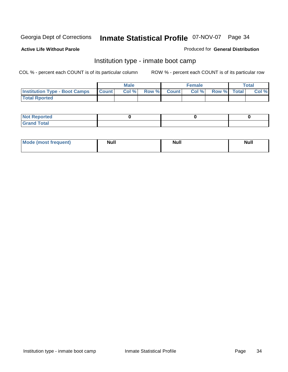#### **Active Life Without Parole**

#### Produced for **General Distribution**

### Institution type - inmate boot camp

|                                      | <b>Male</b>  |      |                    | Female |       |             | Total |       |
|--------------------------------------|--------------|------|--------------------|--------|-------|-------------|-------|-------|
| <b>Institution Type - Boot Camps</b> | <b>Count</b> | Col% | <b>Row % Count</b> |        | Col % | Row % Total |       | Col % |
| <b>Total Rported</b>                 |              |      |                    |        |       |             |       |       |

| <b>Not Reported</b>              |  |  |
|----------------------------------|--|--|
| $f$ ota'<br>C <sub>ro</sub><br>. |  |  |

| <b>Mode (most frequent)</b> | <b>Null</b> | <b>Null</b> | <b>Null</b> |
|-----------------------------|-------------|-------------|-------------|
|                             |             |             |             |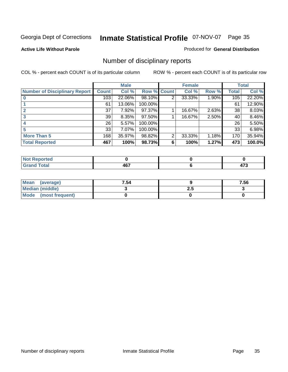#### **Active Life Without Parole**

#### Produced for **General Distribution**

### Number of disciplinary reports

|                                      |                  | <b>Male</b> |             |                | <b>Female</b> |       |       | <b>Total</b> |
|--------------------------------------|------------------|-------------|-------------|----------------|---------------|-------|-------|--------------|
| <b>Number of Disciplinary Report</b> | <b>Count</b>     | Col %       | Row % Count |                | Col %         | Row % | Total | Col %        |
|                                      | $\overline{103}$ | 22.06%      | 98.10%      | $\overline{2}$ | 33.33%        | 1.90% | 105   | 22.20%       |
|                                      | 61               | 13.06%      | 100.00%     |                |               |       | 61    | 12.90%       |
|                                      | 37               | 7.92%       | 97.37%      |                | 16.67%        | 2.63% | 38    | 8.03%        |
| 3                                    | 39               | 8.35%       | $97.50\%$   |                | 16.67%        | 2.50% | 40    | 8.46%        |
| 4                                    | 26               | 5.57%       | 100.00%     |                |               |       | 26    | 5.50%        |
| 5                                    | 33               | 7.07%       | 100.00%     |                |               |       | 33    | 6.98%        |
| <b>More Than 5</b>                   | 168              | 35.97%      | 98.82%      | $\overline{2}$ | 33.33%        | 1.18% | 170   | 35.94%       |
| <b>Total Reported</b>                | 467              | 100%        | 98.73%      | 6              | 100%          | 1.27% | 473   | 100.0%       |

| .<br>тео.<br>N |     |        |
|----------------|-----|--------|
| $F$ ata'       | 1C7 | .      |
|                | −v. | $\sim$ |

| Mean (average)       | 7.54 |     | 7.56 |
|----------------------|------|-----|------|
| Median (middle)      |      | 2.J |      |
| Mode (most frequent) |      |     |      |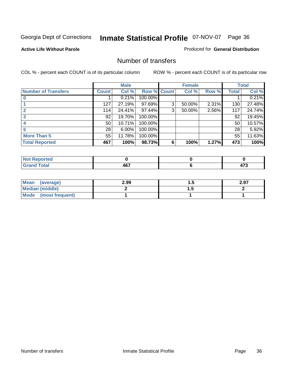#### **Active Life Without Parole**

#### Produced for **General Distribution**

### Number of transfers

|                            |                 | <b>Male</b> |             |   | <b>Female</b> |       |              | <b>Total</b> |
|----------------------------|-----------------|-------------|-------------|---|---------------|-------|--------------|--------------|
| <b>Number of Transfers</b> | <b>Count</b>    | Col %       | Row % Count |   | Col %         | Row % | <b>Total</b> | Col %        |
|                            |                 | 0.21%       | 100.00%     |   |               |       |              | 0.21%        |
|                            | 127             | 27.19%      | 97.69%      | 3 | 50.00%        | 2.31% | 130          | 27.48%       |
|                            | 114             | 24.41%      | 97.44%      | 3 | 50.00%        | 2.56% | 117          | 24.74%       |
| 3                          | 92 <sub>1</sub> | 19.70%      | 100.00%     |   |               |       | 92           | 19.45%       |
|                            | 50              | 10.71%      | 100.00%     |   |               |       | 50           | 10.57%       |
|                            | 28              | 6.00%       | 100.00%     |   |               |       | 28           | 5.92%        |
| <b>More Than 5</b>         | 55              | 11.78%      | 100.00%     |   |               |       | 55           | 11.63%       |
| <b>Total Reported</b>      | 467             | 100%        | 98.73%      | 6 | 100%          | 1.27% | 473          | 100%         |

| .<br>тес<br>N |       |               |
|---------------|-------|---------------|
| -----         | —     | $\rightarrow$ |
|               | $  -$ | __            |

| Mean (average)       | 2.99 |          | 2.97 |
|----------------------|------|----------|------|
| Median (middle)      |      | $\cdots$ |      |
| Mode (most frequent) |      |          |      |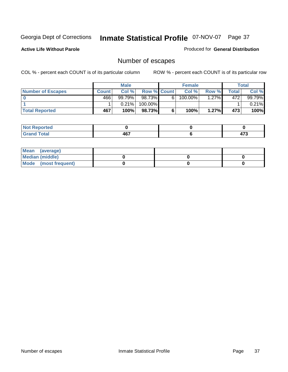**Active Life Without Parole** 

Produced for **General Distribution**

# Number of escapes

|                          |              | <b>Male</b> |                    |    | <b>Female</b> |          |       | Total    |
|--------------------------|--------------|-------------|--------------------|----|---------------|----------|-------|----------|
| <b>Number of Escapes</b> | <b>Count</b> | Col %       | <b>Row % Count</b> |    | Col %         | Row %    | Total | Col %    |
|                          | 466          | $99.79\%$   | 98.73%I            | 6. | 100.00%       | $1.27\%$ | 472   | 99.79%   |
|                          |              | 0.21%       | 100.00%            |    |               |          |       | $0.21\%$ |
| <b>Total Reported</b>    | 467          | 100%        | 98.73%             | 6  | 100%          | 1.27%    | 473   | 100%     |

| the seat of the<br>rreo<br>NO |            |      |
|-------------------------------|------------|------|
| <b>Total</b>                  | A67        | ים   |
| שו מו ש                       | <u>то.</u> | 41 J |

| Mean (average)       |  |  |
|----------------------|--|--|
| Median (middle)      |  |  |
| Mode (most frequent) |  |  |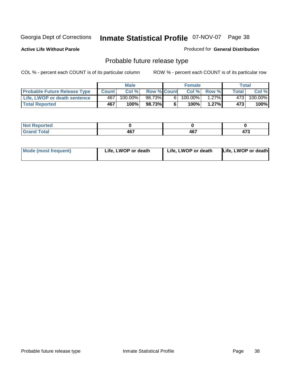**Active Life Without Parole** 

Produced for **General Distribution**

# Probable future release type

|                                     |              | <b>Male</b> |                    |   | <b>Female</b> |             |       | Total   |
|-------------------------------------|--------------|-------------|--------------------|---|---------------|-------------|-------|---------|
| <b>Probable Future Release Type</b> | <b>Count</b> | Col%        | <b>Row % Count</b> |   |               | Col % Row % | Total | Col %   |
| <b>Life, LWOP or death sentence</b> | 467          | $100.00\%$  | 98.73%             | 6 | $100.00\%$    | $1.27\%$    | 4731  | 100.00% |
| <b>Total Reported</b>               | 467          | 100%        | 98.73%             | 6 | 100%          | 1.27%       | 473   | 100%    |

| <b>rted</b> |     |     |              |
|-------------|-----|-----|--------------|
| <b>otal</b> | A67 | 467 | $1 - \alpha$ |
| ______      | Ήν. |     | .            |

| <b>Mode (most frequent)</b> | Life, LWOP or death | Life, LWOP or death | Life, LWOP or death |
|-----------------------------|---------------------|---------------------|---------------------|
|-----------------------------|---------------------|---------------------|---------------------|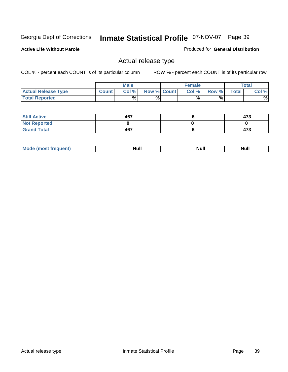**Active Life Without Parole** 

Produced for **General Distribution**

### Actual release type

|                            |        | <b>Male</b> |                    | <b>Female</b> |       |              | Total |
|----------------------------|--------|-------------|--------------------|---------------|-------|--------------|-------|
| <b>Actual Release Type</b> | Count. | Col %       | <b>Row % Count</b> | Col %         | Row % | <b>Total</b> | Col % |
| <b>Total Reported</b>      |        | %           | %                  | %             | %     |              | %     |

| <b>Still Active</b> | 467 | 473 |
|---------------------|-----|-----|
| <b>Not Reported</b> |     |     |
| <b>Grand Total</b>  | 467 | 473 |

| .<br>,,,,,<br>. | лĽ |  |
|-----------------|----|--|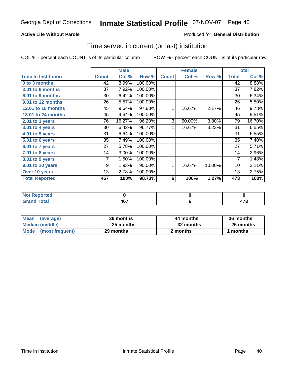### **Active Life Without Parole**

#### Produced for **General Distribution**

### Time served in current (or last) institution

|                            |              | <b>Male</b> |         |                 | <b>Female</b> |        |                | <b>Total</b> |
|----------------------------|--------------|-------------|---------|-----------------|---------------|--------|----------------|--------------|
| <b>Time In Institution</b> | <b>Count</b> | Col %       | Row %   | <b>Count</b>    | Col %         | Row %  | <b>Total</b>   | Col %        |
| 0 to 3 months              | 42           | 8.99%       | 100.00% |                 |               |        | 42             | 8.88%        |
| 3.01 to 6 months           | 37           | 7.92%       | 100.00% |                 |               |        | 37             | 7.82%        |
| 6.01 to 9 months           | 30           | 6.42%       | 100.00% |                 |               |        | 30             | 6.34%        |
| 9.01 to 12 months          | 26           | 5.57%       | 100.00% |                 |               |        | 26             | 5.50%        |
| 12.01 to 18 months         | 45           | 9.64%       | 97.83%  | 1               | 16.67%        | 2.17%  | 46             | 9.73%        |
| 18.01 to 24 months         | 45           | 9.64%       | 100.00% |                 |               |        | 45             | 9.51%        |
| 2.01 to 3 years            | 76           | 16.27%      | 96.20%  | 3               | 50.00%        | 3.80%  | 79             | 16.70%       |
| 3.01 to 4 years            | 30           | 6.42%       | 96.77%  | 1               | 16.67%        | 3.23%  | 31             | 6.55%        |
| 4.01 to 5 years            | 31           | 6.64%       | 100.00% |                 |               |        | 31             | 6.55%        |
| 5.01 to 6 years            | 35           | 7.49%       | 100.00% |                 |               |        | 35             | 7.40%        |
| 6.01 to 7 years            | 27           | 5.78%       | 100.00% |                 |               |        | 27             | 5.71%        |
| $7.01$ to 8 years          | 14           | 3.00%       | 100.00% |                 |               |        | 14             | 2.96%        |
| 8.01 to 9 years            | 7            | 1.50%       | 100.00% |                 |               |        | $\overline{7}$ | 1.48%        |
| 9.01 to 10 years           | 9            | 1.93%       | 90.00%  | 1               | 16.67%        | 10.00% | 10             | 2.11%        |
| Over 10 years              | 13           | 2.78%       | 100.00% |                 |               |        | 13             | 2.75%        |
| <b>Total Reported</b>      | 467          | 100%        | 98.73%  | $6\phantom{1}6$ | 100%          | 1.27%  | 473            | 100%         |

| <b>Not Reported</b> |               |               |
|---------------------|---------------|---------------|
| <b>Total</b>        | 1 G 7<br>TV 1 | $\rightarrow$ |

| <b>Mean</b><br>(average) | 36 months | 44 months | 36 months |
|--------------------------|-----------|-----------|-----------|
| Median (middle)          | 25 months | 32 months | 26 months |
| Mode (most frequent)     | 29 months | 2 months  | 1 months  |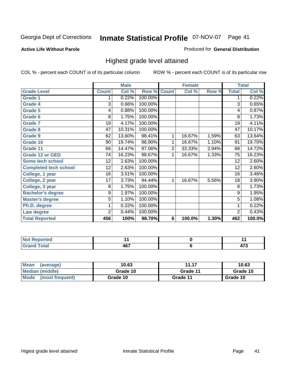#### **Active Life Without Parole**

#### Produced for **General Distribution**

### Highest grade level attained

|                              |                 | <b>Male</b> |         |                | <b>Female</b> |       |                 | <b>Total</b>         |
|------------------------------|-----------------|-------------|---------|----------------|---------------|-------|-----------------|----------------------|
| <b>Grade Level</b>           | <b>Count</b>    | Col %       | Row %   | <b>Count</b>   | Col %         | Row % | <b>Total</b>    | Col %                |
| <b>Grade 1</b>               | 1               | 0.22%       | 100.00% |                |               |       | 1               | 0.22%                |
| <b>Grade 4</b>               | 3               | 0.66%       | 100.00% |                |               |       | $\overline{3}$  | 0.65%                |
| <b>Grade 5</b>               | 4               | 0.88%       | 100.00% |                |               |       | 4               | 0.87%                |
| Grade 6                      | 8               | 1.75%       | 100.00% |                |               |       | 8               | 1.73%                |
| <b>Grade 7</b>               | 19              | 4.17%       | 100.00% |                |               |       | $\overline{19}$ | 4.11%                |
| <b>Grade 8</b>               | 47              | 10.31%      | 100.00% |                |               |       | 47              | 10.17%               |
| <b>Grade 9</b>               | 62              | 13.60%      | 98.41%  | 1              | 16.67%        | 1.59% | 63              | 13.64%               |
| Grade 10                     | 90              | 19.74%      | 98.90%  | 1              | 16.67%        | 1.10% | 91              | 19.70%               |
| Grade 11                     | 66              | 14.47%      | 97.06%  | $\overline{c}$ | 33.33%        | 2.94% | 68              | 14.72%               |
| <b>Grade 12 or GED</b>       | 74              | 16.23%      | 98.67%  | 1              | 16.67%        | 1.33% | 75              | 16.23%               |
| <b>Some tech school</b>      | $\overline{12}$ | 2.63%       | 100.00% |                |               |       | $\overline{12}$ | 2.60%                |
| <b>Completed tech school</b> | 12              | 2.63%       | 100.00% |                |               |       | 12              | 2.60%                |
| College, 1 year              | 16              | 3.51%       | 100.00% |                |               |       | 16              | 3.46%                |
| College, 2 year              | $\overline{17}$ | 3.73%       | 94.44%  | 1              | 16.67%        | 5.56% | 18              | 3.90%                |
| College, 3 year              | 8               | 1.75%       | 100.00% |                |               |       | 8               | 1.73%                |
| <b>Bachelor's degree</b>     | 9               | 1.97%       | 100.00% |                |               |       | 9               | 1.95%                |
| <b>Master's degree</b>       | 5               | 1.10%       | 100.00% |                |               |       | 5               | 1.08%                |
| Ph.D. degree                 | 1               | 0.22%       | 100.00% |                |               |       | 1               | 0.22%                |
| Law degree                   | 2               | 0.44%       | 100.00% |                |               |       | $\overline{c}$  | 0.43%                |
| <b>Total Reported</b>        | 456             | 100%        | 98.70%  | 6              | 100.0%        | 1.30% | 462             | $\overline{100.0\%}$ |

| <b>The company's company's</b><br>Tea-<br>N         |     |            |
|-----------------------------------------------------|-----|------------|
| $T_{\text{global}}$<br>---<br><b>Utal</b><br>$\sim$ | 467 | ---<br>T 8 |

| Mean<br>(average)       | 10.63    | 11.17    | 10.63    |
|-------------------------|----------|----------|----------|
| Median (middle)         | Grade 10 | Grade 11 | Grade 10 |
| Mode<br>(most frequent) | Grade 10 | Grade 11 | Grade 10 |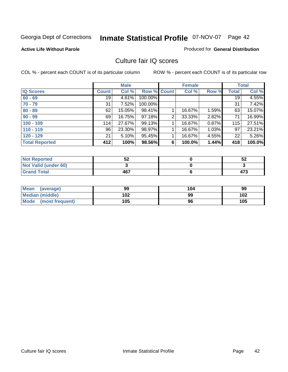#### **Active Life Without Parole**

#### Produced for **General Distribution**

### Culture fair IQ scores

|                       |              | <b>Male</b> |             |                | <b>Female</b> |       |       | <b>Total</b> |
|-----------------------|--------------|-------------|-------------|----------------|---------------|-------|-------|--------------|
| <b>IQ Scores</b>      | <b>Count</b> | Col %       | Row % Count |                | Col %         | Row % | Total | Col %        |
| $60 - 69$             | 19           | 4.61%       | 100.00%     |                |               |       | 19    | 4.55%        |
| $70 - 79$             | 31           | 7.52%       | 100.00%     |                |               |       | 31    | 7.42%        |
| $80 - 89$             | 62           | 15.05%      | 98.41%      |                | 16.67%        | 1.59% | 63    | 15.07%       |
| $90 - 99$             | 69           | 16.75%      | 97.18%      | $\overline{2}$ | 33.33%        | 2.82% | 71    | 16.99%       |
| $100 - 109$           | 114          | 27.67%      | 99.13%      |                | 16.67%        | 0.87% | 115   | 27.51%       |
| $110 - 119$           | 96           | 23.30%      | 98.97%      |                | 16.67%        | 1.03% | 97    | 23.21%       |
| $120 - 129$           | 21           | $5.10\%$    | 95.45%      |                | 16.67%        | 4.55% | 22    | 5.26%        |
| <b>Total Reported</b> | 412          | 100%        | 98.56%      | 6              | 100.0%        | 1.44% | 418   | 100.0%       |

| <b>Not Reported</b>         | гΑ<br>3∠ | 52  |
|-----------------------------|----------|-----|
| <b>Not Valid (under 60)</b> |          |     |
| <b>Grand Total</b>          | 467      | 473 |

| Mean (average)       | 99  | 104 | 99  |
|----------------------|-----|-----|-----|
| Median (middle)      | 102 | 99  | 102 |
| Mode (most frequent) | 105 | 96  | 105 |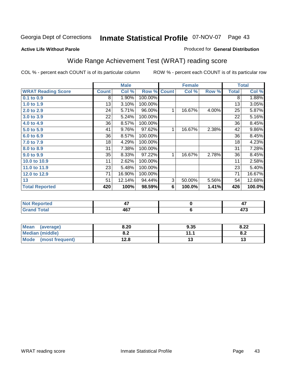#### **Active Life Without Parole**

#### Produced for **General Distribution**

# Wide Range Achievement Test (WRAT) reading score

|                           |              | <b>Male</b>    |         |              | <b>Female</b> |       |              | <b>Total</b>    |
|---------------------------|--------------|----------------|---------|--------------|---------------|-------|--------------|-----------------|
| <b>WRAT Reading Score</b> | <b>Count</b> | Col %          | Row %   | <b>Count</b> | Col %         | Row % | <b>Total</b> | Col %           |
| $0.1$ to $0.9$            | 8            | 1.90%          | 100.00% |              |               |       | 8            | 1.88%           |
| 1.0 to 1.9                | 13           | 3.10%          | 100.00% |              |               |       | 13           | 3.05%           |
| 2.0 to 2.9                | 24           | 5.71%          | 96.00%  | 1            | 16.67%        | 4.00% | 25           | 5.87%           |
| 3.0 to 3.9                | 22           | 5.24%          | 100.00% |              |               |       | 22           | 5.16%           |
| 4.0 to 4.9                | 36           | 8.57%          | 100.00% |              |               |       | 36           | 8.45%           |
| 5.0 to 5.9                | 41           | 9.76%          | 97.62%  | 1            | 16.67%        | 2.38% | 42           | 9.86%           |
| 6.0 to 6.9                | 36           | 8.57%          | 100.00% |              |               |       | 36           | 8.45%           |
| 7.0 to 7.9                | 18           | 4.29%          | 100.00% |              |               |       | 18           | 4.23%           |
| 8.0 to 8.9                | 31           | 7.38%          | 100.00% |              |               |       | 31           | 7.28%           |
| 9.0 to 9.9                | 35           | 8.33%          | 97.22%  | 1            | 16.67%        | 2.78% | 36           | 8.45%           |
| 10.0 to 10.9              | 11           | 2.62%          | 100.00% |              |               |       | 11           | 2.58%           |
| 11.0 to 11.9              | 23           | 5.48%          | 100.00% |              |               |       | 23           | 5.40%           |
| 12.0 to 12.9              | 71           | 16.90%         | 100.00% |              |               |       | 71           | 16.67%          |
| 13                        | 51           | 12.14%         | 94.44%  | 3            | 50.00%        | 5.56% | 54           | 12.68%          |
| <b>Total Reported</b>     | 420          | 100%           | 98.59%  | 6            | 100.0%        | 1.41% | 426          | 100.0%          |
|                           |              |                |         |              |               |       |              |                 |
| Not Donortod              |              | $\overline{A}$ |         |              | $\mathbf{r}$  |       |              | $\overline{17}$ |

| <b>Not Reported</b>              | . .<br>- 1 | . .<br>. .               |
|----------------------------------|------------|--------------------------|
| <b>Total</b><br>$\mathbf{v}$ and | A67<br>יטד | $\overline{\phantom{a}}$ |
|                                  |            |                          |

| <b>Mean</b><br>(average) | 8.20       | 9.35 | 8.22       |
|--------------------------|------------|------|------------|
| <b>Median (middle)</b>   | י ה<br>0.Z | .    | ה ה<br>o.z |
| Mode<br>(most frequent)  | 12.8       | ט ו  | 17         |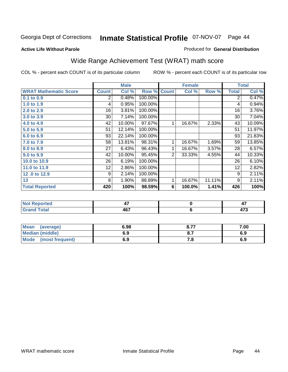#### **Active Life Without Parole**

#### Produced for **General Distribution**

# Wide Range Achievement Test (WRAT) math score

|                              |              | <b>Male</b> |                    |                | <b>Female</b> |        |              | <b>Total</b> |
|------------------------------|--------------|-------------|--------------------|----------------|---------------|--------|--------------|--------------|
| <b>WRAT Mathematic Score</b> | <b>Count</b> | Col %       | <b>Row % Count</b> |                | Col %         | Row %  | <b>Total</b> | Col %        |
| 0.1 to 0.9                   | 2            | 0.48%       | 100.00%            |                |               |        | 2            | 0.47%        |
| 1.0 to 1.9                   | 4            | 0.95%       | 100.00%            |                |               |        | 4            | 0.94%        |
| 2.0 to 2.9                   | 16           | 3.81%       | 100.00%            |                |               |        | 16           | 3.76%        |
| 3.0 to 3.9                   | 30           | 7.14%       | 100.00%            |                |               |        | 30           | 7.04%        |
| 4.0 to 4.9                   | 42           | 10.00%      | 97.67%             | 1              | 16.67%        | 2.33%  | 43           | 10.09%       |
| 5.0 to 5.9                   | 51           | 12.14%      | 100.00%            |                |               |        | 51           | 11.97%       |
| 6.0 to 6.9                   | 93           | 22.14%      | 100.00%            |                |               |        | 93           | 21.83%       |
| 7.0 to 7.9                   | 58           | 13.81%      | 98.31%             | 1              | 16.67%        | 1.69%  | 59           | 13.85%       |
| 8.0 to 8.9                   | 27           | 6.43%       | 96.43%             | 1              | 16.67%        | 3.57%  | 28           | 6.57%        |
| 9.0 to 9.9                   | 42           | 10.00%      | 95.45%             | $\overline{2}$ | 33.33%        | 4.55%  | 44           | 10.33%       |
| 10.0 to 10.9                 | 26           | 6.19%       | 100.00%            |                |               |        | 26           | 6.10%        |
| 11.0 to 11.9                 | 12           | 2.86%       | 100.00%            |                |               |        | 12           | 2.82%        |
| 12.0 to 12.9                 | 9            | 2.14%       | 100.00%            |                |               |        | 9            | 2.11%        |
| 13                           | 8            | 1.90%       | 88.89%             | 1              | 16.67%        | 11.11% | 9            | 2.11%        |
| <b>Total Reported</b>        | 420          | 100%        | 98.59%             | 6              | 100.0%        | 1.41%  | 426          | 100%         |
|                              |              |             |                    |                |               |        |              |              |
|                              |              |             |                    |                |               |        |              |              |

| <i>r</i> tea<br>$\cdots$ | . .<br>.,   | 4, |
|--------------------------|-------------|----|
| Grand Total              | 167<br>י טי |    |
|                          |             |    |

| Mean<br>(average)       | 6.98 | o 77<br>O.1. | 7.00 |
|-------------------------|------|--------------|------|
| <b>Median (middle)</b>  | 6.9  |              | 6.9  |
| Mode<br>(most frequent) | 6.9  | 7.a          | 6.9  |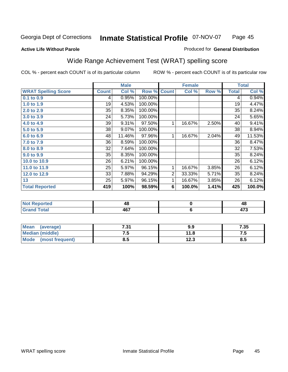### **Active Life Without Parole**

#### Produced for **General Distribution**

# Wide Range Achievement Test (WRAT) spelling score

|                            |                 | <b>Male</b> |                    |   | <b>Female</b> |       |                 | <b>Total</b> |
|----------------------------|-----------------|-------------|--------------------|---|---------------|-------|-----------------|--------------|
| <b>WRAT Spelling Score</b> | <b>Count</b>    | Col %       | <b>Row % Count</b> |   | Col %         | Row % | <b>Total</b>    | Col %        |
| $0.1$ to $0.9$             | 4               | 0.95%       | 100.00%            |   |               |       | 4               | 0.94%        |
| 1.0 to 1.9                 | 19              | 4.53%       | 100.00%            |   |               |       | 19              | 4.47%        |
| 2.0 to 2.9                 | 35              | 8.35%       | 100.00%            |   |               |       | 35              | 8.24%        |
| 3.0 to 3.9                 | 24              | 5.73%       | 100.00%            |   |               |       | 24              | 5.65%        |
| 4.0 to 4.9                 | 39              | 9.31%       | 97.50%             | 1 | 16.67%        | 2.50% | 40              | 9.41%        |
| 5.0 to 5.9                 | 38              | 9.07%       | 100.00%            |   |               |       | 38              | 8.94%        |
| 6.0 to 6.9                 | 48              | 11.46%      | 97.96%             | 1 | 16.67%        | 2.04% | 49              | 11.53%       |
| 7.0 to 7.9                 | $\overline{36}$ | 8.59%       | 100.00%            |   |               |       | $\overline{36}$ | 8.47%        |
| 8.0 to 8.9                 | 32              | 7.64%       | 100.00%            |   |               |       | 32              | 7.53%        |
| 9.0 to 9.9                 | 35              | 8.35%       | 100.00%            |   |               |       | 35              | 8.24%        |
| 10.0 to 10.9               | 26              | 6.21%       | 100.00%            |   |               |       | 26              | 6.12%        |
| 11.0 to 11.9               | 25              | 5.97%       | 96.15%             | 1 | 16.67%        | 3.85% | 26              | 6.12%        |
| 12.0 to 12.9               | 33              | 7.88%       | 94.29%             | 2 | 33.33%        | 5.71% | 35              | 8.24%        |
| 13                         | 25              | 5.97%       | 96.15%             | 1 | 16.67%        | 3.85% | 26              | 6.12%        |
| <b>Total Reported</b>      | 419             | 100%        | 98.59%             | 6 | 100.0%        | 1.41% | 425             | 100.0%       |
|                            |                 |             |                    |   |               |       |                 |              |
| <b>Not Reported</b>        |                 | 48          |                    |   | $\pmb{0}$     |       |                 | 48           |
| <b>Grand Total</b>         |                 | 467         |                    |   | 6             |       |                 | 473          |

| <b>Mean</b><br>(average)       | 7.31 | 9.9  | 7.35  |
|--------------------------------|------|------|-------|
| <b>Median (middle)</b>         | ن. ا | 11.8 | . . J |
| <b>Mode</b><br>(most frequent) | ช.ว  | 12.3 | 8.5   |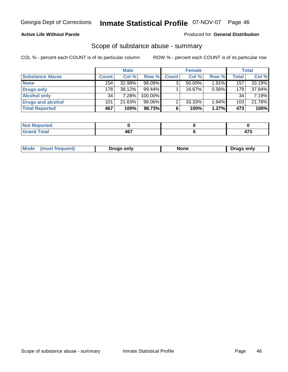### **Active Life Without Parole**

#### Produced for **General Distribution**

### Scope of substance abuse - summary

|                        |              | <b>Male</b> |            |              | <b>Female</b> |       |       | Total  |
|------------------------|--------------|-------------|------------|--------------|---------------|-------|-------|--------|
| <b>Substance Abuse</b> | <b>Count</b> | Col %       | Row %      | <b>Count</b> | Col %         | Row % | Total | Col %  |
| <b>None</b>            | 154          | 32.98%      | 98.09%     |              | 50.00%        | 1.91% | 157   | 33.19% |
| Drugs only             | 178          | $38.12\%$   | $99.44\%$  |              | 16.67%        | 0.56% | 179   | 37.84% |
| <b>Alcohol only</b>    | 34           | 7.28%       | $100.00\%$ |              |               |       | 34    | 7.19%  |
| Drugs and alcohol      | 101          | 21.63%      | $98.06\%$  |              | 33.33%        | 1.94% | 103   | 21.78% |
| <b>Total Reported</b>  | 467          | 100%        | 98.73%     | 6            | 100%          | 1.27% | 473   | 100%   |

| <b>Not</b><br><b>Reported</b>                    |       |   |
|--------------------------------------------------|-------|---|
| <b>Total</b><br>Gran<br>$\sim$ . $\sim$ . $\sim$ | 1 C 7 | . |

|  | Mode<br>$-$<br>11 15 1 | Druas onlv | None | only |
|--|------------------------|------------|------|------|
|--|------------------------|------------|------|------|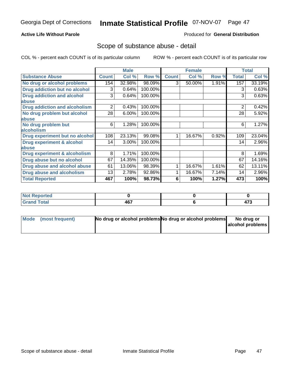### **Active Life Without Parole**

#### Produced for **General Distribution**

### Scope of substance abuse - detail

|                                         |              | <b>Male</b> |         |              | <b>Female</b> |          |              | <b>Total</b> |
|-----------------------------------------|--------------|-------------|---------|--------------|---------------|----------|--------------|--------------|
| <b>Substance Abuse</b>                  | <b>Count</b> | Col %       | Row %   | <b>Count</b> | Col %         | Row %    | <b>Total</b> | Col %        |
| No drug or alcohol problems             | 154          | 32.98%      | 98.09%  | 3            | 50.00%        | $1.91\%$ | 157          | 33.19%       |
| Drug addiction but no alcohol           | 3            | 0.64%       | 100.00% |              |               |          | 3            | 0.63%        |
| <b>Drug addiction and alcohol</b>       | 3            | 0.64%       | 100.00% |              |               |          | 3            | 0.63%        |
| abuse                                   |              |             |         |              |               |          |              |              |
| <b>Drug addiction and alcoholism</b>    | 2            | 0.43%       | 100.00% |              |               |          | 2            | 0.42%        |
| No drug problem but alcohol             | 28           | 6.00%       | 100.00% |              |               |          | 28           | 5.92%        |
| abuse                                   |              |             |         |              |               |          |              |              |
| No drug problem but                     | 6            | 1.28%       | 100.00% |              |               |          | 6            | 1.27%        |
| alcoholism                              |              |             |         |              |               |          |              |              |
| Drug experiment but no alcohol          | 108          | 23.13%      | 99.08%  |              | 16.67%        | 0.92%    | 109          | 23.04%       |
| <b>Drug experiment &amp; alcohol</b>    | 14           | 3.00%       | 100.00% |              |               |          | 14           | 2.96%        |
| abuse                                   |              |             |         |              |               |          |              |              |
| <b>Drug experiment &amp; alcoholism</b> | 8            | 1.71%       | 100.00% |              |               |          | 8            | 1.69%        |
| Drug abuse but no alcohol               | 67           | 14.35%      | 100.00% |              |               |          | 67           | 14.16%       |
| Drug abuse and alcohol abuse            | 61           | 13.06%      | 98.39%  |              | 16.67%        | 1.61%    | 62           | 13.11%       |
| <b>Drug abuse and alcoholism</b>        | 13           | 2.78%       | 92.86%  |              | 16.67%        | 7.14%    | 14           | 2.96%        |
| <b>Total Reported</b>                   | 467          | 100%        | 98.73%  | 6            | 100%          | 1.27%    | 473          | 100%         |

| <b>Reported</b><br>   |     |  |
|-----------------------|-----|--|
| <b>Total</b><br>----- | 467 |  |

| Mode (most frequent) | No drug or alcohol problems No drug or alcohol problems | No drug or       |
|----------------------|---------------------------------------------------------|------------------|
|                      |                                                         | alcohol problems |
|                      |                                                         |                  |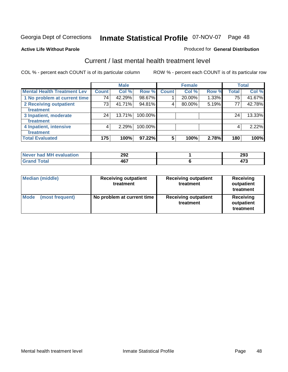#### **Active Life Without Parole**

#### Produced for **General Distribution**

### Current / last mental health treatment level

|                                    |              | <b>Male</b> |         |                | <b>Female</b> |       |              | <b>Total</b> |
|------------------------------------|--------------|-------------|---------|----------------|---------------|-------|--------------|--------------|
| <b>Mental Health Treatment Lev</b> | <b>Count</b> | Col %       | Row %   | <b>Count</b>   | Col %         | Row % | <b>Total</b> | Col %        |
| 1 No problem at current time       | 74           | 42.29%      | 98.67%  |                | 20.00%        | 1.33% | 75           | 41.67%       |
| 2 Receiving outpatient             | 73           | 41.71%      | 94.81%  | 4              | 80.00%        | 5.19% | 77           | 42.78%       |
| treatment                          |              |             |         |                |               |       |              |              |
| 3 Inpatient, moderate              | 24           | 13.71%      | 100.00% |                |               |       | 24           | 13.33%       |
| treatment                          |              |             |         |                |               |       |              |              |
| 4 Inpatient, intensive             | 4            | 2.29%       | 100.00% |                |               |       | 4            | 2.22%        |
| treatment                          |              |             |         |                |               |       |              |              |
| <b>Total Evaluated</b>             | 175          | 100%        | 97.22%  | $5\phantom{1}$ | 100%          | 2.78% | 180          | 100%         |

| Never had MH evaluation | 292 | 293 |
|-------------------------|-----|-----|
| Total                   | 467 | י-  |

| <b>Median (middle)</b>         | <b>Receiving outpatient</b><br>treatment | <b>Receiving outpatient</b><br>treatment | Receiving<br>outpatient<br>treatment |
|--------------------------------|------------------------------------------|------------------------------------------|--------------------------------------|
| <b>Mode</b><br>(most frequent) | No problem at current time               | <b>Receiving outpatient</b><br>treatment | Receiving<br>outpatient<br>treatment |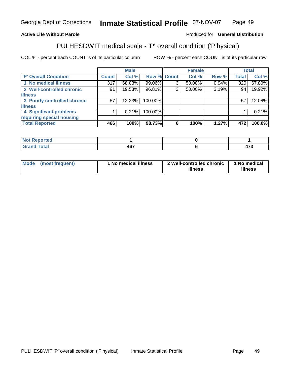### **Active Life Without Parole**

#### Produced for **General Distribution**

# PULHESDWIT medical scale - 'P' overall condition ('P'hysical)

|                             |              | <b>Male</b> |         |             | <b>Female</b> |       |              | <b>Total</b> |
|-----------------------------|--------------|-------------|---------|-------------|---------------|-------|--------------|--------------|
| 'P' Overall Condition       | <b>Count</b> | Col %       |         | Row % Count | Col %         | Row % | <b>Total</b> | Col %        |
| 1 No medical illness        | 317          | 68.03%      | 99.06%  | ົ           | 50.00%        | 0.94% | 320          | 67.80%       |
| 2 Well-controlled chronic   | 91           | 19.53%      | 96.81%  | 3           | 50.00%        | 3.19% | 94           | 19.92%       |
| <b>illness</b>              |              |             |         |             |               |       |              |              |
| 3 Poorly-controlled chronic | 57           | $12.23\%$   | 100.00% |             |               |       | 57           | 12.08%       |
| <b>illness</b>              |              |             |         |             |               |       |              |              |
| 4 Significant problems      |              | 0.21%       | 100.00% |             |               |       |              | 0.21%        |
| requiring special housing   |              |             |         |             |               |       |              |              |
| <b>Total Reported</b>       | 466          | 100%        | 98.73%  | 6           | 100%          | 1.27% | 472          | 100.0%       |

| rtea<br>sevo<br>        |            |                   |
|-------------------------|------------|-------------------|
| $\mathsf{Total}$<br>--- | AC7<br>TV. | 170<br>,,<br>71 J |

| Mode (most frequent) | 1 No medical illness | 2 Well-controlled chronic | 1 No medical |
|----------------------|----------------------|---------------------------|--------------|
|                      |                      | illness                   | illness      |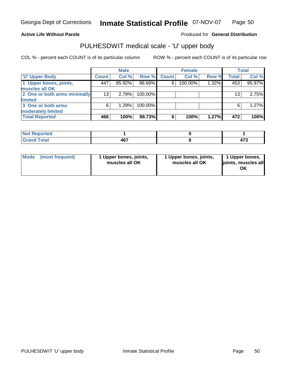#### **Active Life Without Parole**

Produced for **General Distribution**

### PULHESDWIT medical scale - 'U' upper body

|                              |              | <b>Male</b> |         |              | <b>Female</b> |       |              | <b>Total</b> |
|------------------------------|--------------|-------------|---------|--------------|---------------|-------|--------------|--------------|
| <b>U' Upper Body</b>         | <b>Count</b> | Col %       | Row %   | <b>Count</b> | Col %         | Row % | <b>Total</b> | Col %        |
| 1 Upper bones, joints,       | 447          | 95.92%      | 98.68%  | 6            | 100.00%       | 1.32% | 453          | 95.97%       |
| muscles all OK               |              |             |         |              |               |       |              |              |
| 2 One or both arms minimally | 13           | 2.79%       | 100.00% |              |               |       | 13           | 2.75%        |
| limited                      |              |             |         |              |               |       |              |              |
| 3 One or both arms           | 6            | 1.29%       | 100.00% |              |               |       | 6            | 1.27%        |
| moderately limited           |              |             |         |              |               |       |              |              |
| <b>Total Reported</b>        | 466          | 100%        | 98.73%  | 6            | 100%          | 1.27% | 472          | 100%         |

| <b>Not Reported</b>               |           |                       |
|-----------------------------------|-----------|-----------------------|
| <b>Total</b><br>$C$ rar<br>$\sim$ | ""<br>וטד | $\rightarrow$<br>41 J |

| l Mode I | (most frequent) | 1 Upper bones, joints,<br>muscles all OK | 1 Upper bones, joints,<br>muscles all OK | 1 Upper bones,<br>joints, muscles all<br>ΟK |
|----------|-----------------|------------------------------------------|------------------------------------------|---------------------------------------------|
|----------|-----------------|------------------------------------------|------------------------------------------|---------------------------------------------|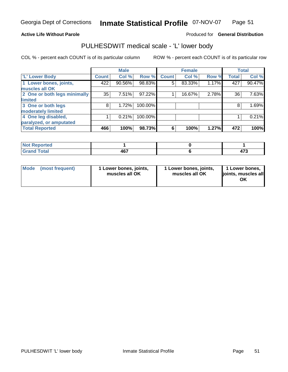#### **Active Life Without Parole**

#### Produced for **General Distribution**

### PULHESDWIT medical scale - 'L' lower body

|                              |                    | <b>Male</b> |         |              | <b>Female</b> |       |              | <b>Total</b> |
|------------------------------|--------------------|-------------|---------|--------------|---------------|-------|--------------|--------------|
| 'L' Lower Body               | Count <sup>'</sup> | Col %       | Row %   | <b>Count</b> | Col %         | Row % | <b>Total</b> | Col %        |
| 1 Lower bones, joints,       | 422                | 90.56%      | 98.83%  | 5            | 83.33%        | 1.17% | 427          | 90.47%       |
| muscles all OK               |                    |             |         |              |               |       |              |              |
| 2 One or both legs minimally | 35                 | 7.51%       | 97.22%  |              | 16.67%        | 2.78% | 36           | 7.63%        |
| limited                      |                    |             |         |              |               |       |              |              |
| 3 One or both legs           | 8                  | 1.72%       | 100.00% |              |               |       | 8            | 1.69%        |
| moderately limited           |                    |             |         |              |               |       |              |              |
| 4 One leg disabled,          |                    | 0.21%       | 100.00% |              |               |       |              | 0.21%        |
| paralyzed, or amputated      |                    |             |         |              |               |       |              |              |
| <b>Total Reported</b>        | 466                | 100%        | 98.73%  | 6            | 100%          | 1.27% | 472          | 100%         |

| $N = 1$<br><b>Prorted</b><br>N<br>$\sim$   |             |                       |
|--------------------------------------------|-------------|-----------------------|
| <b>Total</b><br>C <sub>rou</sub><br>______ | 1C7<br>40 I | $\rightarrow$<br>91 J |

| l Mode | (most frequent) | 1 Lower bones, joints,<br>muscles all OK | 1 Lower bones, joints,<br>muscles all OK | 1 Lower bones,<br>joints, muscles all<br>ΟK |
|--------|-----------------|------------------------------------------|------------------------------------------|---------------------------------------------|
|--------|-----------------|------------------------------------------|------------------------------------------|---------------------------------------------|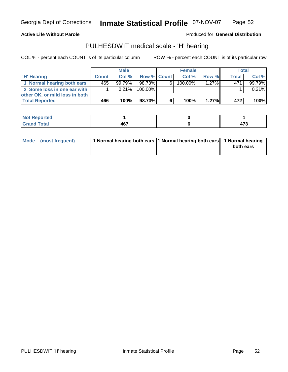#### **Active Life Without Parole**

Produced for **General Distribution**

### PULHESDWIT medical scale - 'H' hearing

|                                | <b>Male</b>  |           |             |   | <b>Female</b> | <b>Total</b> |              |        |
|--------------------------------|--------------|-----------|-------------|---|---------------|--------------|--------------|--------|
| <b>H' Hearing</b>              | <b>Count</b> | Col%      | Row % Count |   | Col%          | Row %        | <b>Total</b> | Col %  |
| 1 Normal hearing both ears     | 465          | $99.79\%$ | 98.73%      | 6 | $100.00\%$    | $1.27\%$     | 471          | 99.79% |
| 2 Some loss in one ear with    |              | $0.21\%$  | 100.00%     |   |               |              |              | 0.21%  |
| other OK, or mild loss in both |              |           |             |   |               |              |              |        |
| <b>Total Reported</b>          | 466          | 100%      | 98.73%      | 6 | 100%          | $1.27\%$     | 472          | 100%   |

| and and and the second con-<br>N<br>nneo. |               |     |
|-------------------------------------------|---------------|-----|
| í otal                                    | "~~           | --- |
| $\sim$ $\sim$ $\sim$ $\sim$ $\sim$        | $\sim$ $\sim$ |     |

| Mode (most frequent) | 1 Normal hearing both ears 1 Normal hearing both ears 1 Normal hearing | both ears |
|----------------------|------------------------------------------------------------------------|-----------|
|                      |                                                                        |           |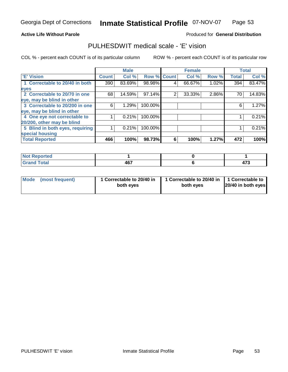#### **Active Life Without Parole**

#### Produced for **General Distribution**

### PULHESDWIT medical scale - 'E' vision

|                                 |              | <b>Male</b> |             |   | <b>Female</b> |       |              | <b>Total</b> |
|---------------------------------|--------------|-------------|-------------|---|---------------|-------|--------------|--------------|
| <b>E' Vision</b>                | <b>Count</b> | Col %       | Row % Count |   | Col%          | Row % | <b>Total</b> | Col %        |
| 1 Correctable to 20/40 in both  | 390          | 83.69%      | 98.98%      | 4 | 66.67%        | 1.02% | 394          | 83.47%       |
| eyes                            |              |             |             |   |               |       |              |              |
| 2 Correctable to 20/70 in one   | 68           | 14.59%      | 97.14%      | 2 | 33.33%        | 2.86% | 70           | 14.83%       |
| eye, may be blind in other      |              |             |             |   |               |       |              |              |
| 3 Correctable to 20/200 in one  | 6            | 1.29%       | 100.00%     |   |               |       | 6            | 1.27%        |
| eye, may be blind in other      |              |             |             |   |               |       |              |              |
| 4 One eye not correctable to    |              | 0.21%       | 100.00%     |   |               |       |              | 0.21%        |
| 20/200, other may be blind      |              |             |             |   |               |       |              |              |
| 5 Blind in both eyes, requiring |              | 0.21%       | 100.00%     |   |               |       |              | 0.21%        |
| special housing                 |              |             |             |   |               |       |              |              |
| <b>Total Reported</b>           | 466          | 100%        | 98.73%      | 6 | 100%          | 1.27% | 472          | 100%         |

| <b>Not Reported</b> |     |                       |
|---------------------|-----|-----------------------|
| <b>Grand Total</b>  | 467 | $\rightarrow$<br>41 J |

| Mode (most frequent) | 1 Correctable to 20/40 in<br>both eyes | 1 Correctable to 20/40 in   1 Correctable to<br>both eves | 20/40 in both eyes |
|----------------------|----------------------------------------|-----------------------------------------------------------|--------------------|
|----------------------|----------------------------------------|-----------------------------------------------------------|--------------------|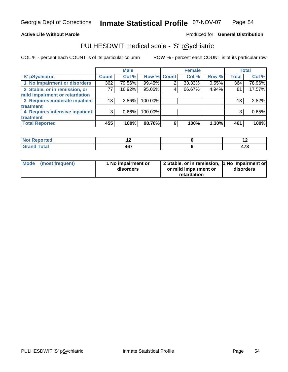#### **Active Life Without Parole**

#### Produced for **General Distribution**

### PULHESDWIT medical scale - 'S' pSychiatric

|                                |              | <b>Male</b> |             |   | <b>Female</b> |       |              | <b>Total</b> |
|--------------------------------|--------------|-------------|-------------|---|---------------|-------|--------------|--------------|
| 'S' pSychiatric                | <b>Count</b> | Col %       | Row % Count |   | Col %         | Row % | <b>Total</b> | Col %        |
| 1 No impairment or disorders   | 362          | 79.56%      | 99.45%      | ⌒ | 33.33%        | 0.55% | 364          | 78.96%       |
| 2 Stable, or in remission, or  | 77           | 16.92%      | 95.06%      | 4 | 66.67%        | 4.94% | 81           | 17.57%       |
| mild impairment or retardation |              |             |             |   |               |       |              |              |
| 3 Requires moderate inpatient  | 13           | $2.86\%$    | 100.00%     |   |               |       | 13           | 2.82%        |
| treatment                      |              |             |             |   |               |       |              |              |
| 4 Requires intensive inpatient | 3            | 0.66%       | 100.00%     |   |               |       | 3            | 0.65%        |
| treatment                      |              |             |             |   |               |       |              |              |
| <b>Total Reported</b>          | 455          | 100%        | 98.70%      | 6 | 100%          | 1.30% | 461          | 100%         |

| rted                     | . . | --            |
|--------------------------|-----|---------------|
| N                        |     |               |
| fotal                    | 107 | $\rightarrow$ |
| $\sim$ . $\sim$ . $\sim$ | 407 | . ז           |

| Mode (most frequent) | 1 No impairment or<br>disorders | 2 Stable, or in remission, 1 No impairment or<br>or mild impairment or | disorders |
|----------------------|---------------------------------|------------------------------------------------------------------------|-----------|
|                      |                                 | retardation                                                            |           |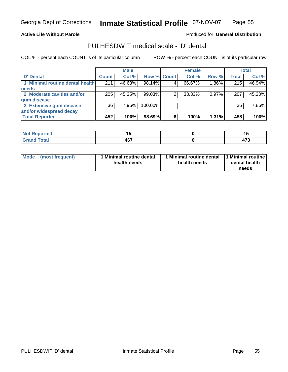#### **Active Life Without Parole**

### Produced for **General Distribution**

### PULHESDWIT medical scale - 'D' dental

|                                 | <b>Male</b>  |        | <b>Female</b> |   |        | Total    |              |        |
|---------------------------------|--------------|--------|---------------|---|--------|----------|--------------|--------|
| <b>D'</b> Dental                | <b>Count</b> | Col %  | Row % Count   |   | Col %  | Row %    | <b>Total</b> | Col %  |
| 1 Minimal routine dental health | 211          | 46.68% | 98.14%        |   | 66.67% | $1.86\%$ | 215          | 46.94% |
| <b>needs</b>                    |              |        |               |   |        |          |              |        |
| 2 Moderate cavities and/or      | 205          | 45.35% | 99.03%        |   | 33.33% | $0.97\%$ | 207          | 45.20% |
| gum disease                     |              |        |               |   |        |          |              |        |
| 3 Extensive gum disease         | 36           | 7.96%  | 100.00%       |   |        |          | 36           | 7.86%  |
| and/or widespread decay         |              |        |               |   |        |          |              |        |
| <b>Total Reported</b>           | 452          | 100%   | 98.69%        | 6 | 100%   | 1.31%    | 458          | 100%   |

| N                          | - -<br>. .<br>$\overline{\phantom{a}}$ |                        |
|----------------------------|----------------------------------------|------------------------|
| $\mathcal{L} = 4 \times 7$ | 1 C 7<br>4υ<br>$\cdot$ .               | $\rightarrow$<br>- 1 J |

| <b>Mode</b><br>(most frequent) | 1 Minimal routine dental<br>health needs | health needs | Minimal routine dental 1 Minimal routine<br>dental health<br>needs |
|--------------------------------|------------------------------------------|--------------|--------------------------------------------------------------------|
|--------------------------------|------------------------------------------|--------------|--------------------------------------------------------------------|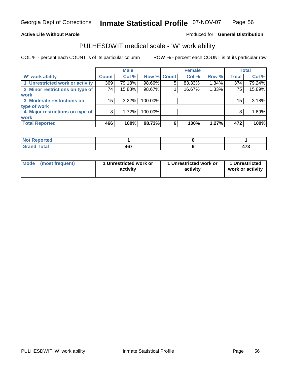#### **Active Life Without Parole**

#### Produced for **General Distribution**

### PULHESDWIT medical scale - 'W' work ability

|                                 |              | <b>Male</b> |             |   | <b>Female</b> |       |              | Total  |
|---------------------------------|--------------|-------------|-------------|---|---------------|-------|--------------|--------|
| <b>W'</b> work ability          | <b>Count</b> | Col %       | Row % Count |   | Col %         | Row % | <b>Total</b> | Col %  |
| 1 Unrestricted work or activity | 369          | 79.18%      | 98.66%      | 5 | 83.33%        | 1.34% | 374          | 79.24% |
| 2 Minor restrictions on type of | 74           | 15.88%      | 98.67%      |   | 16.67%        | 1.33% | 75           | 15.89% |
| <b>work</b>                     |              |             |             |   |               |       |              |        |
| 3 Moderate restrictions on      | 15           | $3.22\%$    | 100.00%     |   |               |       | 15           | 3.18%  |
| type of work                    |              |             |             |   |               |       |              |        |
| 4 Major restrictions on type of | 8            | 1.72%       | 100.00%     |   |               |       | 8            | 1.69%  |
| <b>work</b>                     |              |             |             |   |               |       |              |        |
| <b>Total Reported</b>           | 466          | 100%        | 98.73%      | 6 | 100%          | 1.27% | 472          | 100%   |

| Reported                           |             |                                    |
|------------------------------------|-------------|------------------------------------|
| I Total<br>Grand<br><b>U</b> lullu | 1C7<br>40 I | $\rightarrow$<br>ر .<br><u>тı.</u> |

| <b>Mode</b><br>1 Unrestricted work or<br>1 Unrestricted work or<br>(most frequent)<br>activity<br>activity | 1 Unrestricted<br>work or activity |
|------------------------------------------------------------------------------------------------------------|------------------------------------|
|------------------------------------------------------------------------------------------------------------|------------------------------------|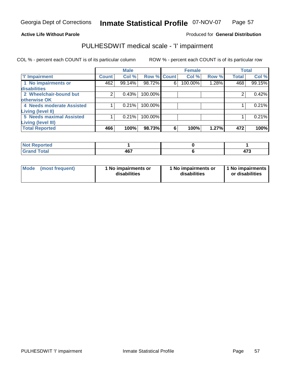#### **Active Life Without Parole**

### Produced for **General Distribution**

### PULHESDWIT medical scale - 'I' impairment

|                           |              | <b>Male</b> |             |   | <b>Female</b> |       |              | <b>Total</b> |
|---------------------------|--------------|-------------|-------------|---|---------------|-------|--------------|--------------|
| <b>T' Impairment</b>      | <b>Count</b> | Col %       | Row % Count |   | Col %         | Row % | <b>Total</b> | Col %        |
| 1 No impairments or       | 462          | 99.14%      | 98.72%      | 6 | 100.00%       | 1.28% | 468          | 99.15%       |
| disabilities              |              |             |             |   |               |       |              |              |
| 2 Wheelchair-bound but    |              | 0.43%       | 100.00%     |   |               |       |              | 0.42%        |
| otherwise OK              |              |             |             |   |               |       |              |              |
| 4 Needs moderate Assisted |              | 0.21%       | 100.00%     |   |               |       |              | 0.21%        |
| <b>Living (level II)</b>  |              |             |             |   |               |       |              |              |
| 5 Needs maximal Assisted  |              | 0.21%       | 100.00%     |   |               |       |              | 0.21%        |
| <b>Living (level III)</b> |              |             |             |   |               |       |              |              |
| <b>Total Reported</b>     | 466          | 100%        | 98.73%      | 6 | 100%          | 1.27% | 472          | 100%         |

| <b>Not Reported</b> |            |     |
|---------------------|------------|-----|
| <b>otal</b>         | <b>AG7</b> | $-$ |
| 7.4114              | TV.        |     |

| Mode (most frequent) | l No impairments or | 1 No impairments or | I 1 No impairments |
|----------------------|---------------------|---------------------|--------------------|
|                      | disabilities        | disabilities        | or disabilities    |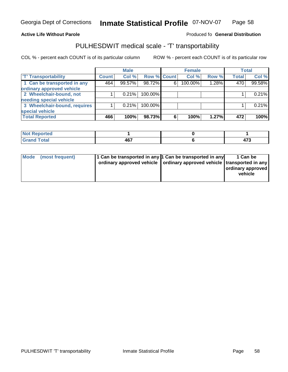#### **Inmate Statistical Profile 07-NOV-07 Page** Page 58

#### **Active Life Without Parole Produced fo Seneral Distribution**

### PULHESDWIT medical scale - 'T' transportability

|                              |              | <b>Male</b> |             |   | <b>Female</b> |       |              | <b>Total</b> |
|------------------------------|--------------|-------------|-------------|---|---------------|-------|--------------|--------------|
| <b>T' Transportability</b>   | <b>Count</b> | Col %       | Row % Count |   | Col %         | Row % | <b>Total</b> | Col %        |
| 1 Can be transported in any  | 464          | 99.57%      | 98.72%      | 6 | 100.00%       | 1.28% | 470          | 99.58%       |
| ordinary approved vehicle    |              |             |             |   |               |       |              |              |
| 2 Wheelchair-bound, not      |              | 0.21%       | 100.00%     |   |               |       |              | 0.21%        |
| needing special vehicle      |              |             |             |   |               |       |              |              |
| 3 Wheelchair-bound, requires |              | 0.21%       | 100.00%     |   |               |       |              | 0.21%        |
| special vehicle              |              |             |             |   |               |       |              |              |
| <b>Total Reported</b>        | 466          | 100%        | 98.73%      | 6 | 100%          | 1.27% | 472          | 100%         |

| Not Re<br>Reported |     |          |
|--------------------|-----|----------|
| <b>Grand Total</b> | 467 | .<br>. . |

| Mode (most frequent) | 1 Can be transported in any 1 Can be transported in any<br>ordinary approved vehicle   ordinary approved vehicle   transported in any |  | 1 Can be<br>ordinary approved<br>vehicle |
|----------------------|---------------------------------------------------------------------------------------------------------------------------------------|--|------------------------------------------|
|----------------------|---------------------------------------------------------------------------------------------------------------------------------------|--|------------------------------------------|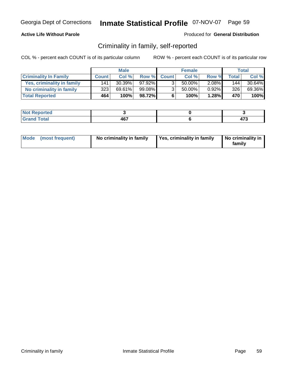### **Active Life Without Parole**

#### Produced for **General Distribution**

### Criminality in family, self-reported

|                              | <b>Male</b>  |           | <b>Female</b> |                |        | Total |              |        |
|------------------------------|--------------|-----------|---------------|----------------|--------|-------|--------------|--------|
| <b>Criminality In Family</b> | <b>Count</b> | Col %     |               | Row % Count    | Col %  | Row % | <b>Total</b> | Col %  |
| Yes, criminality in family   | 141          | $30.39\%$ | $97.92\%$     | 3 <sub>1</sub> | 50.00% | 2.08% | 144          | 30.64% |
| No criminality in family     | 323          | 69.61%    | 99.08%        | 3 <sub>1</sub> | 50.00% | 0.92% | 326          | 69.36% |
| <b>Total Reported</b>        | 464'         | 100%      | 98.72%I       | 6              | 100%   | 1.28% | 470'         | 100%   |

| اد د ۱۰۰<br>neo<br>. NO |                  |        |
|-------------------------|------------------|--------|
| -                       | $\sim$<br>$\sim$ | $\sim$ |

| Mode (most frequent) | No criminality in family | Yes, criminality in family | No criminality in<br>family |
|----------------------|--------------------------|----------------------------|-----------------------------|
|----------------------|--------------------------|----------------------------|-----------------------------|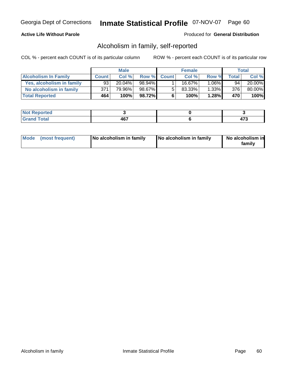### **Active Life Without Parole**

#### Produced for **General Distribution**

### Alcoholism in family, self-reported

|                             | <b>Male</b>  |        | <b>Female</b> |             |        | <b>Total</b> |              |        |
|-----------------------------|--------------|--------|---------------|-------------|--------|--------------|--------------|--------|
| <b>Alcoholism In Family</b> | <b>Count</b> | Col %  |               | Row % Count | Col %  | Row %        | <b>Total</b> | Col %  |
| Yes, alcoholism in family   | 93           | 20.04% | 98.94%        |             | 16.67% | $1.06\%$     | 94           | 20.00% |
| No alcoholism in family     | 371          | 79.96% | 98.67%        | -51         | 83.33% | 1.33%        | 376          | 80.00% |
| <b>Total Reported</b>       | 464          | 100%   | 98.72%I       | 6           | 100%   | 1.28%        | 470          | 100%   |

| اد د ۱۰۰<br>neo<br>. NO |                  |        |
|-------------------------|------------------|--------|
| -                       | $\sim$<br>$\sim$ | $\sim$ |

|  | Mode (most frequent) | No alcoholism in family | No alcoholism in family | No alcoholism in<br>familv |
|--|----------------------|-------------------------|-------------------------|----------------------------|
|--|----------------------|-------------------------|-------------------------|----------------------------|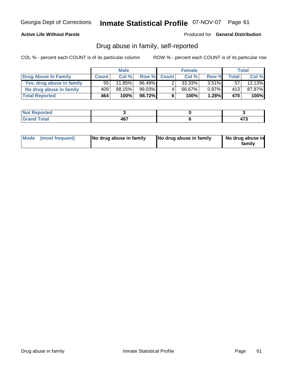### **Active Life Without Parole**

Produced for **General Distribution**

### Drug abuse in family, self-reported

|                           | <b>Male</b>  |        | <b>Female</b> |              |        | Total    |                  |        |
|---------------------------|--------------|--------|---------------|--------------|--------|----------|------------------|--------|
| Drug Abuse In Family      | <b>Count</b> | Col %  | Row %         | <b>Count</b> | Col %  | Row %    | <b>Total</b>     | Col %  |
| Yes, drug abuse in family | 55           | 11.85% | $96.49\%$     |              | 33.33% | $3.51\%$ | 57               | 12.13% |
| No drug abuse in family   | 409'         | 88.15% | 99.03%        | 4            | 66.67% | $0.97\%$ | 413              | 87.87% |
| <b>Total Reported</b>     | 464          | 100%   | 98.72%        | 6            | 100%   | 1.28%    | 470 <sup>'</sup> | 100%   |

| لمنتشر بالتمتر<br>orted<br>' IVOT |                |  |
|-----------------------------------|----------------|--|
| <b>otal</b><br>-                  | $\sim$<br>$ -$ |  |

| Mode (most frequent) |  | No drug abuse in family | No drug abuse in family | No drug abuse in<br>familv |
|----------------------|--|-------------------------|-------------------------|----------------------------|
|----------------------|--|-------------------------|-------------------------|----------------------------|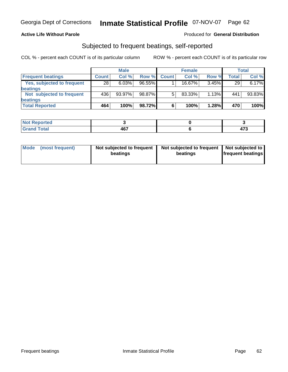### **Active Life Without Parole**

#### Produced for **General Distribution**

### Subjected to frequent beatings, self-reported

|                            | <b>Male</b>     |        |           | <b>Female</b> |        |          | <b>Total</b> |        |
|----------------------------|-----------------|--------|-----------|---------------|--------|----------|--------------|--------|
| <b>Frequent beatings</b>   | <b>Count</b>    | Col%   | Row %     | <b>Count</b>  | Col%   | Row %    | Total        | Col %  |
| Yes, subjected to frequent | $\overline{28}$ | 6.03%  | $96.55\%$ |               | 16.67% | $3.45\%$ | 29           | 6.17%  |
| beatings                   |                 |        |           |               |        |          |              |        |
| Not subjected to frequent  | 436             | 93.97% | 98.87%    | 5             | 83.33% | $1.13\%$ | 441          | 93.83% |
| beatings                   |                 |        |           |               |        |          |              |        |
| <b>Total Reported</b>      | 464             | 100%   | 98.72%    | 6             | 100%   | 1.28%    | 470          | 100%   |

| NotR<br>Reported<br>$\sim$ . The set of $\sim$ |       |               |
|------------------------------------------------|-------|---------------|
| <b>Grand Total</b>                             | 1 C 7 | $\rightarrow$ |
| Cror                                           | וטו   | 91 J          |

| Mode | (most frequent) | Not subjected to frequent  <br>beatings | Not subjected to frequent   Not subjected to  <br>beatings | <b>frequent beatings</b> |
|------|-----------------|-----------------------------------------|------------------------------------------------------------|--------------------------|
|------|-----------------|-----------------------------------------|------------------------------------------------------------|--------------------------|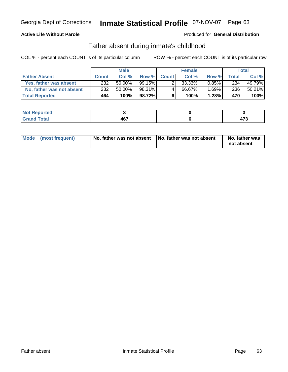### **Active Life Without Parole**

#### Produced for **General Distribution**

### Father absent during inmate's childhood

|                           | <b>Male</b>  |           |           | <b>Female</b> |        |       | <b>Total</b> |        |
|---------------------------|--------------|-----------|-----------|---------------|--------|-------|--------------|--------|
| <b>Father Absent</b>      | <b>Count</b> | Col %     |           | Row % Count   | Col %  | Row % | <b>Total</b> | Col %  |
| Yes, father was absent    | 232          | $50.00\%$ | $99.15\%$ | 2             | 33.33% | 0.85% | 234          | 49.79% |
| No, father was not absent | 232          | $50.00\%$ | 98.31%    |               | 66.67% | 1.69% | 236          | 50.21% |
| <b>Total Reported</b>     | 464          | 100%      | 98.72%I   | 6             | 100%   | 1.28% | 470          | 100%   |

| <b>rted</b>                                 |            |  |
|---------------------------------------------|------------|--|
| $f$ ata $f$<br><u>i vlai</u><br>$- \cdot -$ | 467<br>$-$ |  |

| Mode (most frequent) | No, father was not absent No, father was not absent | No, father was<br>not absent |
|----------------------|-----------------------------------------------------|------------------------------|
|----------------------|-----------------------------------------------------|------------------------------|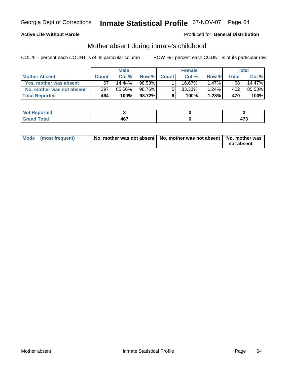### **Active Life Without Parole**

#### Produced for **General Distribution**

### Mother absent during inmate's childhood

|                           | <b>Male</b>  |           |        | <b>Female</b> |        |          | <b>Total</b>     |        |
|---------------------------|--------------|-----------|--------|---------------|--------|----------|------------------|--------|
| <b>Mother Absent</b>      | <b>Count</b> | Col %     | Row %  | <b>Count</b>  | Col %  | Row %    | Total            | Col %  |
| Yes, mother was absent    | 67           | $14.44\%$ | 98.53% |               | 16.67% | $1.47\%$ | 68               | 14.47% |
| No, mother was not absent | 397          | 85.56%    | 98.76% | 5             | 83.33% | 1.24%    | 402              | 85.53% |
| <b>Total Reported</b>     | 464          | 100%      | 98.72% | 6             | 100%   | 1.28%    | 470 <sup>'</sup> | 100%   |

| <b>rted</b>                                             |             |         |
|---------------------------------------------------------|-------------|---------|
| $f$ ata $f$<br><b>TULAI</b><br>$\sim$ . $\sim$ . $\sim$ | 467<br>$ -$ | ---<br> |

| Mode (most frequent) | No, mother was not absent   No, mother was not absent   No, mother was |            |
|----------------------|------------------------------------------------------------------------|------------|
|                      |                                                                        | not absent |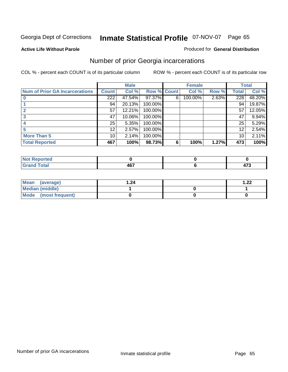#### **Active Life Without Parole**

#### Produced for **General Distribution**

### Number of prior Georgia incarcerations

|                                       |                  | <b>Male</b> |                    |   | <b>Female</b> |       |       | <b>Total</b> |
|---------------------------------------|------------------|-------------|--------------------|---|---------------|-------|-------|--------------|
| <b>Num of Prior GA Incarcerations</b> | <b>Count</b>     | Col %       | <b>Row % Count</b> |   | Col %         | Row % | Total | Col %        |
|                                       | $\overline{222}$ | 47.54%      | 97.37%             | 6 | 100.00%       | 2.63% | 228   | 48.20%       |
|                                       | 94               | 20.13%      | 100.00%            |   |               |       | 94    | 19.87%       |
|                                       | 57               | 12.21%      | 100.00%            |   |               |       | 57    | 12.05%       |
|                                       | 47               | 10.06%      | 100.00%            |   |               |       | 47    | 9.94%        |
|                                       | 25               | 5.35%       | 100.00%            |   |               |       | 25    | 5.29%        |
|                                       | 12               | 2.57%       | 100.00%            |   |               |       | 12    | 2.54%        |
| <b>More Than 5</b>                    | 10 <sup>1</sup>  | 2.14%       | 100.00%            |   |               |       | 10    | 2.11%        |
| <b>Total Reported</b>                 | 467              | 100%        | 98.73%             | 6 | 100%          | 1.27% | 473   | 100%         |

| --<br>. . |          |             |
|-----------|----------|-------------|
|           | .<br>TV. | 470<br>71 J |

| Mean (average)       | ∣.24 | ົດດ<br>$-66$ |
|----------------------|------|--------------|
| Median (middle)      |      |              |
| Mode (most frequent) |      |              |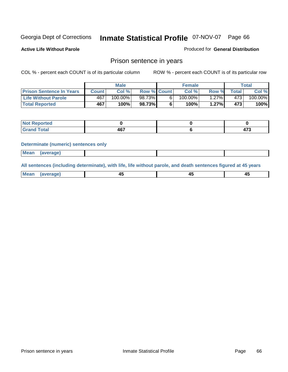**Active Life Without Parole** 

Produced for **General Distribution**

### Prison sentence in years

COL % - percent each COUNT is of its particular column ROW % - percent each COUNT is of its particular row

|                                 |              | <b>Male</b> |                    | <b>Female</b> |       |         | Total                 |
|---------------------------------|--------------|-------------|--------------------|---------------|-------|---------|-----------------------|
| <b>Prison Sentence In Years</b> | <b>Count</b> | Col %       | <b>Row % Count</b> | Col %         | Row % | Total . | Col %                 |
| <b>Life Without Parole</b>      | 467          | 100.00%     | 98.73%             | $100.00\%$    | .27%  | 473     | $100.\overline{00\%}$ |
| <b>Total Reported</b>           | 467          | 100%        | 98.73%             | 100%          | 1.27% | 473     | 100%                  |

| eported      |             |                     |
|--------------|-------------|---------------------|
| <b>Total</b> | 1 C 7<br>ΨV | $\rightarrow$<br>т. |

#### **Determinate (numeric) sentences only**

| <b>Mean</b> | (average) |  |  |
|-------------|-----------|--|--|
|             |           |  |  |

**All sentences (including determinate), with life, life without parole, and death sentences figured at 45 years**

| ' Mea<br>апо      | ᠇ᡂ     |        | т.     |
|-------------------|--------|--------|--------|
| --- <i>--</i> --- | $\sim$ | $\sim$ | $\sim$ |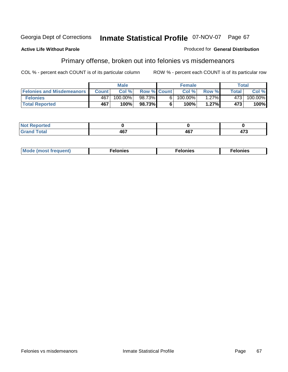#### **Active Life Without Parole**

### Produced for **General Distribution**

# Primary offense, broken out into felonies vs misdemeanors

|                                  |         | <b>Male</b> |                    | <b>Female</b> |          |              | Total      |
|----------------------------------|---------|-------------|--------------------|---------------|----------|--------------|------------|
| <b>Felonies and Misdemeanors</b> | Count I | Col%        | <b>Row % Count</b> | Col %         | Row %    | <b>Total</b> | Col %      |
| <b>Felonies</b>                  | 467     | 100.00%     | 98.73%             | $100.00\%$    | $1.27\%$ | 4731         | $100.00\%$ |
| <b>Total Reported</b>            | 467     | 100%        | 98.73%             | 100%          | 1.27%    | 473          | 100%       |

| <b>Not</b><br><b>Reported</b><br> |     |     |      |
|-----------------------------------|-----|-----|------|
| <b>Total</b>                      | "~~ | 167 | ィフヘ  |
| <b>Grand</b>                      |     | TV. | 11 J |

| <b>Mo</b><br>requent)<br>onies<br>.<br>____ | nies.<br>חי<br>____ | <b>onies</b><br>. |
|---------------------------------------------|---------------------|-------------------|
|---------------------------------------------|---------------------|-------------------|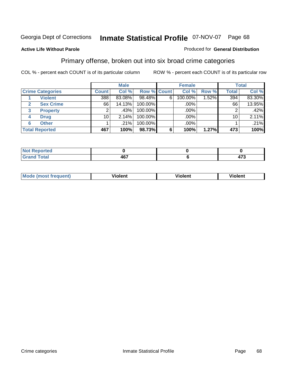### **Active Life Without Parole**

#### Produced for **General Distribution**

### Primary offense, broken out into six broad crime categories

|                         |              | <b>Male</b> |                    |   | <b>Female</b> |       |              | <b>Total</b> |
|-------------------------|--------------|-------------|--------------------|---|---------------|-------|--------------|--------------|
| <b>Crime Categories</b> | <b>Count</b> | Col %       | <b>Row % Count</b> |   | Col %         | Row % | <b>Total</b> | Col %        |
| <b>Violent</b>          | 388          | 83.08%      | 98.48%             | 6 | 100.00%       | 1.52% | 394          | 83.30%       |
| <b>Sex Crime</b><br>2   | 66           | 14.13%      | 100.00%            |   | $.00\%$ $ $   |       | 66           | 13.95%       |
| 3<br><b>Property</b>    | 2            | .43%        | 100.00%            |   | .00%          |       |              | .42%         |
| <b>Drug</b><br>4        | 10           | 2.14%       | 100.00%            |   | .00%          |       | 10           | 2.11%        |
| <b>Other</b><br>6       |              | .21%        | 100.00%            |   | .00%          |       |              | .21%         |
| <b>Total Reported</b>   | 467          | 100%        | 98.73%             | 6 | 100%          | 1.27% | 473          | 100%         |

| <b>Not Reported</b><br>$\cdots$ |       |            |
|---------------------------------|-------|------------|
| <b>Total</b>                    | 1 C 7 | יי         |
| Croi                            | 407   | . <u>.</u> |

| M | . .<br>.<br>חור | ılent | --<br>,,,<br>101011 |
|---|-----------------|-------|---------------------|
|   |                 |       |                     |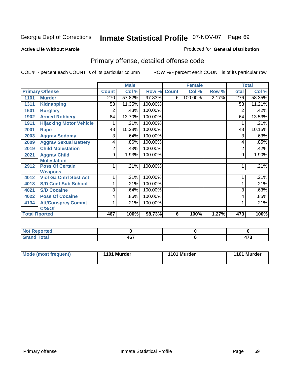#### **Active Life Without Parole**

#### Produced for **General Distribution**

# Primary offense, detailed offense code

|      |                                |              | <b>Male</b> |         |              | <b>Female</b> |       |                | <b>Total</b> |
|------|--------------------------------|--------------|-------------|---------|--------------|---------------|-------|----------------|--------------|
|      | <b>Primary Offense</b>         | <b>Count</b> | Col %       | Row %   | <b>Count</b> | Col %         | Row % | <b>Total</b>   | Col %        |
| 1101 | <b>Murder</b>                  | 270          | 57.82%      | 97.83%  | 6            | 100.00%       | 2.17% | 276            | 58.35%       |
| 1311 | <b>Kidnapping</b>              | 53           | 11.35%      | 100.00% |              |               |       | 53             | 11.21%       |
| 1601 | <b>Burglary</b>                | 2            | .43%        | 100.00% |              |               |       | 2              | .42%         |
| 1902 | <b>Armed Robbery</b>           | 64           | 13.70%      | 100.00% |              |               |       | 64             | 13.53%       |
| 1911 | <b>Hijacking Motor Vehicle</b> |              | .21%        | 100.00% |              |               |       |                | .21%         |
| 2001 | Rape                           | 48           | 10.28%      | 100.00% |              |               |       | 48             | 10.15%       |
| 2003 | <b>Aggrav Sodomy</b>           | 3            | .64%        | 100.00% |              |               |       | 3              | .63%         |
| 2009 | <b>Aggrav Sexual Battery</b>   | 4            | .86%        | 100.00% |              |               |       | 4              | .85%         |
| 2019 | <b>Child Molestation</b>       | 2            | .43%        | 100.00% |              |               |       | $\overline{2}$ | .42%         |
| 2021 | <b>Aggrav Child</b>            | 9            | 1.93%       | 100.00% |              |               |       | 9              | 1.90%        |
|      | <b>Molestation</b>             |              |             |         |              |               |       |                |              |
| 2912 | <b>Poss Of Certain</b>         |              | .21%        | 100.00% |              |               |       | 1              | .21%         |
|      | <b>Weapons</b>                 |              |             |         |              |               |       |                |              |
| 4012 | <b>Viol Ga Cntrl Sbst Act</b>  |              | .21%        | 100.00% |              |               |       |                | .21%         |
| 4018 | <b>S/D Cont Sub School</b>     |              | .21%        | 100.00% |              |               |       | 1              | .21%         |
| 4021 | <b>S/D Cocaine</b>             | 3            | .64%        | 100.00% |              |               |       | 3              | .63%         |
| 4022 | <b>Poss Of Cocaine</b>         | 4            | .86%        | 100.00% |              |               |       | 4              | .85%         |
| 4134 | <b>Att/Consprcy Commt</b>      |              | .21%        | 100.00% |              |               |       |                | .21%         |
|      | C/S/Of                         |              |             |         |              |               |       |                |              |
|      | <b>Total Rported</b>           | 467          | 100%        | 98.73%  | 6            | 100%          | 1.27% | 473            | 100%         |

| لمنصفت<br><b>Reported</b><br> |     |                        |
|-------------------------------|-----|------------------------|
| 'otal                         | 467 | .<br>$\cdot$ . $\cdot$ |

| Mode (most frequent) | 1101 Murder | 1101 Murder | 1101 Murder |
|----------------------|-------------|-------------|-------------|
|----------------------|-------------|-------------|-------------|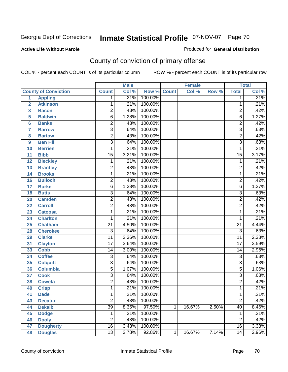#### **Active Life Without Parole**

#### Produced for **General Distribution**

# County of conviction of primary offense

|                         |                             |                 | <b>Male</b> |         |              | <b>Female</b> |       |                 | <b>Total</b>               |
|-------------------------|-----------------------------|-----------------|-------------|---------|--------------|---------------|-------|-----------------|----------------------------|
|                         | <b>County of Conviction</b> | <b>Count</b>    | Col %       | Row %   | <b>Count</b> | Col %         | Row % | <b>Total</b>    | $\overline{\text{Col }\%}$ |
| 1                       | <b>Appling</b>              | 1               | .21%        | 100.00% |              |               |       | 1               | .21%                       |
| $\overline{2}$          | <b>Atkinson</b>             | 1               | .21%        | 100.00% |              |               |       | 1               | .21%                       |
| $\overline{\mathbf{3}}$ | <b>Bacon</b>                | $\overline{2}$  | .43%        | 100.00% |              |               |       | $\overline{c}$  | .42%                       |
| 5                       | <b>Baldwin</b>              | $\overline{6}$  | 1.28%       | 100.00% |              |               |       | $\overline{6}$  | 1.27%                      |
| $6\phantom{a}$          | <b>Banks</b>                | 2               | .43%        | 100.00% |              |               |       | $\overline{2}$  | .42%                       |
| $\overline{7}$          | <b>Barrow</b>               | $\overline{3}$  | .64%        | 100.00% |              |               |       | $\overline{3}$  | .63%                       |
| 8                       | <b>Bartow</b>               | $\overline{2}$  | .43%        | 100.00% |              |               |       | $\overline{2}$  | .42%                       |
| 9                       | <b>Ben Hill</b>             | $\overline{3}$  | .64%        | 100.00% |              |               |       | $\overline{3}$  | .63%                       |
| 10                      | <b>Berrien</b>              | 1               | .21%        | 100.00% |              |               |       | $\mathbf{1}$    | .21%                       |
| 11                      | <b>Bibb</b>                 | $\overline{15}$ | 3.21%       | 100.00% |              |               |       | $\overline{15}$ | 3.17%                      |
| 12                      | <b>Bleckley</b>             | 1               | .21%        | 100.00% |              |               |       | $\mathbf 1$     | .21%                       |
| 13                      | <b>Brantley</b>             | $\overline{2}$  | .43%        | 100.00% |              |               |       | $\overline{2}$  | .42%                       |
| 14                      | <b>Brooks</b>               | 1               | .21%        | 100.00% |              |               |       | 1               | .21%                       |
| 16                      | <b>Bulloch</b>              | $\overline{2}$  | .43%        | 100.00% |              |               |       | $\overline{2}$  | .42%                       |
| 17                      | <b>Burke</b>                | $\overline{6}$  | 1.28%       | 100.00% |              |               |       | $\overline{6}$  | 1.27%                      |
| 18                      | <b>Butts</b>                | $\overline{3}$  | .64%        | 100.00% |              |               |       | $\overline{3}$  | .63%                       |
| 20                      | <b>Camden</b>               | $\overline{2}$  | .43%        | 100.00% |              |               |       | $\overline{2}$  | .42%                       |
| 22                      | <b>Carroll</b>              | $\overline{2}$  | .43%        | 100.00% |              |               |       | $\overline{c}$  | .42%                       |
| 23                      | <b>Catoosa</b>              | 1               | .21%        | 100.00% |              |               |       | 1               | .21%                       |
| 24                      | <b>Charlton</b>             | 1               | .21%        | 100.00% |              |               |       | $\mathbf{1}$    | .21%                       |
| 25                      | <b>Chatham</b>              | $\overline{21}$ | 4.50%       | 100.00% |              |               |       | $\overline{21}$ | 4.44%                      |
| 28                      | <b>Cherokee</b>             | $\overline{3}$  | .64%        | 100.00% |              |               |       | $\overline{3}$  | .63%                       |
| 29                      | <b>Clarke</b>               | $\overline{11}$ | 2.36%       | 100.00% |              |               |       | $\overline{11}$ | 2.33%                      |
| 31                      | <b>Clayton</b>              | $\overline{17}$ | 3.64%       | 100.00% |              |               |       | $\overline{17}$ | 3.59%                      |
| 33                      | <b>Cobb</b>                 | 14              | 3.00%       | 100.00% |              |               |       | 14              | 2.96%                      |
| 34                      | <b>Coffee</b>               | $\overline{3}$  | .64%        | 100.00% |              |               |       | 3               | .63%                       |
| 35                      | <b>Colquitt</b>             | $\overline{3}$  | .64%        | 100.00% |              |               |       | $\overline{3}$  | .63%                       |
| 36                      | <b>Columbia</b>             | $\overline{5}$  | 1.07%       | 100.00% |              |               |       | $\overline{5}$  | 1.06%                      |
| 37                      | <b>Cook</b>                 | $\overline{3}$  | .64%        | 100.00% |              |               |       | $\overline{3}$  | .63%                       |
| 38                      | <b>Coweta</b>               | $\overline{2}$  | .43%        | 100.00% |              |               |       | $\overline{2}$  | .42%                       |
| 40                      | <b>Crisp</b>                | 1               | .21%        | 100.00% |              |               |       | 1               | .21%                       |
| 41                      | <b>Dade</b>                 | 1               | .21%        | 100.00% |              |               |       | 1               | .21%                       |
| 43                      | <b>Decatur</b>              | $\overline{2}$  | .43%        | 100.00% |              |               |       | $\overline{2}$  | .42%                       |
| 44                      | <b>Dekalb</b>               | $\overline{39}$ | 8.35%       | 97.50%  | $\mathbf{1}$ | 16.67%        | 2.50% | $\overline{40}$ | 8.46%                      |
| 45                      | <b>Dodge</b>                | $\mathbf 1$     | .21%        | 100.00% |              |               |       | 1               | .21%                       |
| 46                      | <b>Dooly</b>                | $\overline{2}$  | .43%        | 100.00% |              |               |       | $\overline{2}$  | .42%                       |
| 47                      | <b>Dougherty</b>            | $\overline{16}$ | 3.43%       | 100.00% |              |               |       | 16              | 3.38%                      |
| 48                      | <b>Douglas</b>              | $\overline{13}$ | 2.78%       | 92.86%  | $\mathbf{1}$ | 16.67%        | 7.14% | $\overline{14}$ | 2.96%                      |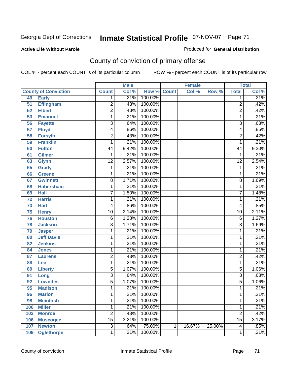#### **Active Life Without Parole**

#### Produced for **General Distribution**

# County of conviction of primary offense

|     |                             |                 | <b>Male</b> |            |              | <b>Female</b> |        |                         | <b>Total</b> |
|-----|-----------------------------|-----------------|-------------|------------|--------------|---------------|--------|-------------------------|--------------|
|     | <b>County of Conviction</b> | <b>Count</b>    | Col %       | Row %      | <b>Count</b> | Col %         | Row %  | <b>Total</b>            | Col %        |
| 49  | <b>Early</b>                | 1               | .21%        | 100.00%    |              |               |        | 1                       | .21%         |
| 51  | <b>Effingham</b>            | $\overline{2}$  | .43%        | 100.00%    |              |               |        | $\overline{2}$          | .42%         |
| 52  | <b>Elbert</b>               | $\overline{2}$  | .43%        | 100.00%    |              |               |        | $\overline{2}$          | .42%         |
| 53  | <b>Emanuel</b>              | 1               | .21%        | 100.00%    |              |               |        | 1                       | .21%         |
| 56  | <b>Fayette</b>              | 3               | .64%        | 100.00%    |              |               |        | $\overline{3}$          | .63%         |
| 57  | <b>Floyd</b>                | 4               | .86%        | 100.00%    |              |               |        | $\overline{\mathbf{4}}$ | .85%         |
| 58  | <b>Forsyth</b>              | $\overline{2}$  | .43%        | 100.00%    |              |               |        | $\overline{2}$          | .42%         |
| 59  | <b>Franklin</b>             | 1               | .21%        | 100.00%    |              |               |        | $\mathbf{1}$            | .21%         |
| 60  | <b>Fulton</b>               | 44              | 9.42%       | 100.00%    |              |               |        | 44                      | 9.30%        |
| 61  | <b>Gilmer</b>               | 1               | .21%        | 100.00%    |              |               |        | 1                       | .21%         |
| 63  | <b>Glynn</b>                | $\overline{12}$ | 2.57%       | 100.00%    |              |               |        | $\overline{12}$         | 2.54%        |
| 65  | <b>Grady</b>                | 1               | .21%        | 100.00%    |              |               |        | $\mathbf 1$             | .21%         |
| 66  | <b>Greene</b>               | 1               | .21%        | 100.00%    |              |               |        | 1                       | .21%         |
| 67  | <b>Gwinnett</b>             | $\overline{8}$  | 1.71%       | 100.00%    |              |               |        | $\overline{8}$          | 1.69%        |
| 68  | <b>Habersham</b>            | 1               | .21%        | 100.00%    |              |               |        | 1                       | .21%         |
| 69  | <b>Hall</b>                 | $\overline{7}$  | 1.50%       | 100.00%    |              |               |        | $\overline{7}$          | 1.48%        |
| 72  | <b>Harris</b>               | 1               | .21%        | 100.00%    |              |               |        | 1                       | .21%         |
| 73  | <b>Hart</b>                 | 4               | .86%        | 100.00%    |              |               |        | 4                       | .85%         |
| 75  | <b>Henry</b>                | $\overline{10}$ | 2.14%       | 100.00%    |              |               |        | $\overline{10}$         | 2.11%        |
| 76  | <b>Houston</b>              | $\,6$           | 1.28%       | 100.00%    |              |               |        | $6\phantom{1}6$         | 1.27%        |
| 78  | <b>Jackson</b>              | $\overline{8}$  | 1.71%       | 100.00%    |              |               |        | $\overline{8}$          | 1.69%        |
| 79  | <b>Jasper</b>               | 1               | .21%        | 100.00%    |              |               |        | 1                       | .21%         |
| 80  | <b>Jeff Davis</b>           | 1               | .21%        | 100.00%    |              |               |        | 1                       | .21%         |
| 82  | <b>Jenkins</b>              | 1               | .21%        | 100.00%    |              |               |        | 1                       | .21%         |
| 84  | <b>Jones</b>                | 1               | .21%        | 100.00%    |              |               |        | 1                       | .21%         |
| 87  | <b>Laurens</b>              | 2               | .43%        | 100.00%    |              |               |        | $\overline{c}$          | .42%         |
| 88  | Lee                         | 1               | .21%        | 100.00%    |              |               |        | 1                       | .21%         |
| 89  | <b>Liberty</b>              | $\overline{5}$  | 1.07%       | 100.00%    |              |               |        | $\overline{5}$          | 1.06%        |
| 91  | Long                        | 3               | .64%        | 100.00%    |              |               |        | $\overline{3}$          | .63%         |
| 92  | <b>Lowndes</b>              | $\overline{5}$  | 1.07%       | 100.00%    |              |               |        | $\overline{5}$          | 1.06%        |
| 95  | <b>Madison</b>              | 1               | .21%        | 100.00%    |              |               |        | 1                       | .21%         |
| 96  | <b>Marion</b>               | 1               | .21%        | $100.00\%$ |              |               |        | 1                       | .21%         |
| 98  | <b>Mcintosh</b>             | 1               | .21%        | 100.00%    |              |               |        | 1                       | .21%         |
| 100 | <b>Miller</b>               | 1               | .21%        | 100.00%    |              |               |        | 1                       | .21%         |
| 102 | <b>Monroe</b>               | $\overline{2}$  | .43%        | 100.00%    |              |               |        | $\overline{2}$          | .42%         |
| 106 | <b>Muscogee</b>             | $\overline{15}$ | 3.21%       | 100.00%    |              |               |        | $\overline{15}$         | 3.17%        |
| 107 | <b>Newton</b>               | $\overline{3}$  | .64%        | 75.00%     | 1            | 16.67%        | 25.00% | $\overline{\mathbf{4}}$ | .85%         |
| 109 | <b>Oglethorpe</b>           | 1               | .21%        | 100.00%    |              |               |        | 1                       | .21%         |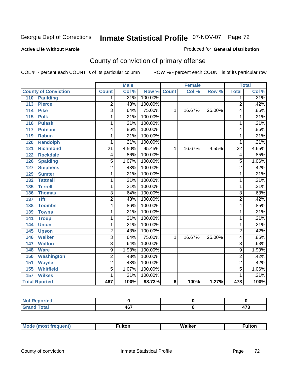#### **Active Life Without Parole**

#### Produced for **General Distribution**

# County of conviction of primary offense

|                             |                 | <b>Male</b> |         |                | <b>Female</b> |        |                          | <b>Total</b> |
|-----------------------------|-----------------|-------------|---------|----------------|---------------|--------|--------------------------|--------------|
| <b>County of Conviction</b> | <b>Count</b>    | Col %       | Row %   | <b>Count</b>   | Col %         | Row %  | <b>Total</b>             | Col %        |
| <b>Paulding</b><br>110      | 1.              | .21%        | 100.00% |                |               |        | 1                        | .21%         |
| <b>Pierce</b><br>113        | $\overline{2}$  | .43%        | 100.00% |                |               |        | $\overline{2}$           | .42%         |
| <b>Pike</b><br>114          | $\overline{3}$  | .64%        | 75.00%  | $\mathbf 1$    | 16.67%        | 25.00% | 4                        | .85%         |
| 115<br><b>Polk</b>          | 1               | .21%        | 100.00% |                |               |        | 1                        | .21%         |
| <b>Pulaski</b><br>116       | 1               | .21%        | 100.00% |                |               |        | 1                        | .21%         |
| 117<br><b>Putnam</b>        | 4               | .86%        | 100.00% |                |               |        | 4                        | .85%         |
| 119<br><b>Rabun</b>         | 1               | .21%        | 100.00% |                |               |        | 1                        | .21%         |
| 120<br><b>Randolph</b>      | 1               | .21%        | 100.00% |                |               |        | 1                        | .21%         |
| <b>Richmond</b><br>121      | $\overline{21}$ | 4.50%       | 95.45%  | $\mathbf 1$    | 16.67%        | 4.55%  | 22                       | 4.65%        |
| <b>Rockdale</b><br>122      | 4               | .86%        | 100.00% |                |               |        | $\overline{\mathcal{A}}$ | .85%         |
| <b>Spalding</b><br>126      | $\overline{5}$  | 1.07%       | 100.00% |                |               |        | $\overline{5}$           | 1.06%        |
| <b>Stephens</b><br>127      | $\overline{2}$  | .43%        | 100.00% |                |               |        | $\overline{2}$           | .42%         |
| 129<br><b>Sumter</b>        | 1               | .21%        | 100.00% |                |               |        | 1                        | .21%         |
| <b>Tattnall</b><br>132      | 1               | .21%        | 100.00% |                |               |        | 1                        | .21%         |
| <b>Terrell</b><br>135       | 1               | .21%        | 100.00% |                |               |        | 1                        | .21%         |
| 136<br><b>Thomas</b>        | $\overline{3}$  | .64%        | 100.00% |                |               |        | $\overline{\mathbf{3}}$  | .63%         |
| <b>Tift</b><br>137          | $\overline{2}$  | .43%        | 100.00% |                |               |        | $\overline{2}$           | .42%         |
| <b>Toombs</b><br>138        | 4               | .86%        | 100.00% |                |               |        | 4                        | .85%         |
| 139<br><b>Towns</b>         | 1               | .21%        | 100.00% |                |               |        | 1                        | .21%         |
| 141<br><b>Troup</b>         | 1               | .21%        | 100.00% |                |               |        | 1                        | .21%         |
| <b>Union</b><br>144         | 1               | .21%        | 100.00% |                |               |        | 1                        | .21%         |
| 145<br><b>Upson</b>         | $\overline{2}$  | .43%        | 100.00% |                |               |        | $\overline{2}$           | .42%         |
| <b>Walker</b><br>146        | $\overline{3}$  | .64%        | 75.00%  | $\mathbf{1}$   | 16.67%        | 25.00% | 4                        | .85%         |
| <b>Walton</b><br>147        | $\overline{3}$  | .64%        | 100.00% |                |               |        | $\overline{3}$           | .63%         |
| <b>Ware</b><br>148          | 9               | 1.93%       | 100.00% |                |               |        | $\overline{9}$           | 1.90%        |
| <b>Washington</b><br>150    | 2               | .43%        | 100.00% |                |               |        | $\overline{2}$           | .42%         |
| 151<br><b>Wayne</b>         | $\overline{2}$  | .43%        | 100.00% |                |               |        | $\overline{2}$           | .42%         |
| 155<br><b>Whitfield</b>     | $\overline{5}$  | 1.07%       | 100.00% |                |               |        | $\overline{5}$           | 1.06%        |
| <b>Wilkes</b><br>157        | 1               | .21%        | 100.00% |                |               |        | 1                        | .21%         |
| <b>Total Rported</b>        | 467             | 100%        | 98.73%  | $6\phantom{a}$ | 100%          | 1.27%  | 473                      | 100%         |

| ____ | $\sim$<br>r v<br>$\sim$ | .<br>__ |
|------|-------------------------|---------|

|  | М | 7 M | . |  |
|--|---|-----|---|--|
|--|---|-----|---|--|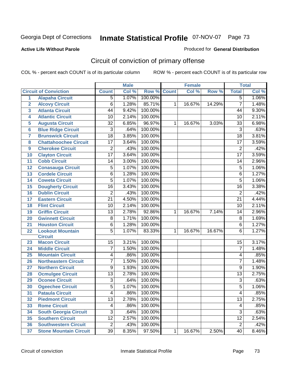### **Active Life Without Parole**

#### Produced for **General Distribution**

# Circuit of conviction of primary offense

|                         |                               |                 | <b>Male</b> |         |              | Female |        |                 | <b>Total</b> |
|-------------------------|-------------------------------|-----------------|-------------|---------|--------------|--------|--------|-----------------|--------------|
|                         | <b>Circuit of Conviction</b>  | <b>Count</b>    | Col %       | Row %   | <b>Count</b> | Col %  | Row %  | <b>Total</b>    | Col %        |
| 1                       | <b>Alapaha Circuit</b>        | 5               | 1.07%       | 100.00% |              |        |        | 5               | 1.06%        |
| $\overline{2}$          | <b>Alcovy Circuit</b>         | 6               | 1.28%       | 85.71%  | $\mathbf{1}$ | 16.67% | 14.29% | $\overline{7}$  | 1.48%        |
| $\overline{\mathbf{3}}$ | <b>Atlanta Circuit</b>        | 44              | 9.42%       | 100.00% |              |        |        | 44              | 9.30%        |
| 4                       | <b>Atlantic Circuit</b>       | 10              | 2.14%       | 100.00% |              |        |        | 10              | 2.11%        |
| 5                       | <b>Augusta Circuit</b>        | $\overline{32}$ | 6.85%       | 96.97%  | 1            | 16.67% | 3.03%  | $\overline{33}$ | 6.98%        |
| $6\phantom{a}6$         | <b>Blue Ridge Circuit</b>     | 3               | .64%        | 100.00% |              |        |        | $\overline{3}$  | .63%         |
| 7                       | <b>Brunswick Circuit</b>      | $\overline{18}$ | 3.85%       | 100.00% |              |        |        | $\overline{18}$ | 3.81%        |
| 8                       | <b>Chattahoochee Circuit</b>  | $\overline{17}$ | 3.64%       | 100.00% |              |        |        | $\overline{17}$ | 3.59%        |
| 9                       | <b>Cherokee Circuit</b>       | $\overline{2}$  | .43%        | 100.00% |              |        |        | $\overline{2}$  | .42%         |
| 10                      | <b>Clayton Circuit</b>        | $\overline{17}$ | 3.64%       | 100.00% |              |        |        | $\overline{17}$ | 3.59%        |
| 11                      | <b>Cobb Circuit</b>           | 14              | 3.00%       | 100.00% |              |        |        | 14              | 2.96%        |
| 12                      | <b>Conasauga Circuit</b>      | 5               | 1.07%       | 100.00% |              |        |        | $\overline{5}$  | 1.06%        |
| 13                      | <b>Cordele Circuit</b>        | 6               | 1.28%       | 100.00% |              |        |        | $\overline{6}$  | 1.27%        |
| 14                      | <b>Coweta Circuit</b>         | $\overline{5}$  | 1.07%       | 100.00% |              |        |        | $\overline{5}$  | 1.06%        |
| 15                      | <b>Dougherty Circuit</b>      | $\overline{16}$ | 3.43%       | 100.00% |              |        |        | $\overline{16}$ | 3.38%        |
| 16                      | <b>Dublin Circuit</b>         | $\overline{2}$  | .43%        | 100.00% |              |        |        | $\overline{2}$  | .42%         |
| 17                      | <b>Eastern Circuit</b>        | $\overline{21}$ | 4.50%       | 100.00% |              |        |        | $\overline{21}$ | 4.44%        |
| 18                      | <b>Flint Circuit</b>          | 10              | 2.14%       | 100.00% |              |        |        | 10              | 2.11%        |
| 19                      | <b>Griffin Circuit</b>        | $\overline{13}$ | 2.78%       | 92.86%  | 1            | 16.67% | 7.14%  | 14              | 2.96%        |
| 20                      | <b>Gwinnett Circuit</b>       | 8               | 1.71%       | 100.00% |              |        |        | 8               | 1.69%        |
| 21                      | <b>Houston Circuit</b>        | $\overline{6}$  | 1.28%       | 100.00% |              |        |        | $\overline{6}$  | 1.27%        |
| 22                      | <b>Lookout Mountain</b>       | 5               | 1.07%       | 83.33%  | $\mathbf{1}$ | 16.67% | 16.67% | 6               | 1.27%        |
|                         | <b>Circuit</b>                |                 |             |         |              |        |        |                 |              |
| 23                      | <b>Macon Circuit</b>          | 15              | 3.21%       | 100.00% |              |        |        | 15              | 3.17%        |
| 24                      | <b>Middle Circuit</b>         | 7               | 1.50%       | 100.00% |              |        |        | $\overline{7}$  | 1.48%        |
| 25                      | <b>Mountain Circuit</b>       | 4               | .86%        | 100.00% |              |        |        | 4               | .85%         |
| 26                      | <b>Northeastern Circuit</b>   | 7               | 1.50%       | 100.00% |              |        |        | 7               | 1.48%        |
| 27                      | <b>Northern Circuit</b>       | 9               | 1.93%       | 100.00% |              |        |        | 9               | 1.90%        |
| 28                      | <b>Ocmulgee Circuit</b>       | $\overline{13}$ | 2.78%       | 100.00% |              |        |        | $\overline{13}$ | 2.75%        |
| 29                      | <b>Oconee Circuit</b>         | $\overline{3}$  | .64%        | 100.00% |              |        |        | $\overline{3}$  | .63%         |
| 30                      | <b>Ogeechee Circuit</b>       | $\overline{5}$  | 1.07%       | 100.00% |              |        |        | $\overline{5}$  | 1.06%        |
| $\overline{31}$         | <b>Pataula Circuit</b>        | $\overline{4}$  | .86%        | 100.00% |              |        |        | $\overline{4}$  | .85%         |
| 32                      | <b>Piedmont Circuit</b>       | 13              | 2.78%       | 100.00% |              |        |        | $\overline{13}$ | 2.75%        |
| 33                      | <b>Rome Circuit</b>           | 4               | .86%        | 100.00% |              |        |        | 4               | .85%         |
| 34                      | <b>South Georgia Circuit</b>  | $\overline{3}$  | .64%        | 100.00% |              |        |        | $\overline{3}$  | .63%         |
| 35                      | <b>Southern Circuit</b>       | $\overline{12}$ | 2.57%       | 100.00% |              |        |        | $\overline{12}$ | 2.54%        |
| 36                      | <b>Southwestern Circuit</b>   | $\overline{2}$  | .43%        | 100.00% |              |        |        | $\overline{2}$  | .42%         |
| 37                      | <b>Stone Mountain Circuit</b> | 39              | 8.35%       | 97.50%  | $\mathbf{1}$ | 16.67% | 2.50%  | 40              | 8.46%        |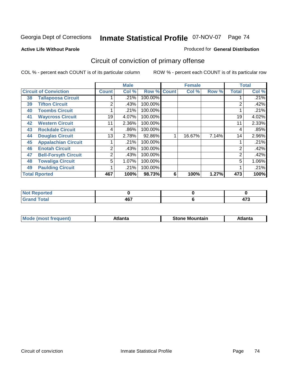#### **Active Life Without Parole**

#### Produced for **General Distribution**

# Circuit of conviction of primary offense

|                              |                             |                | <b>Male</b> |                    |   | <b>Female</b> |       |              | <b>Total</b> |
|------------------------------|-----------------------------|----------------|-------------|--------------------|---|---------------|-------|--------------|--------------|
| <b>Circuit of Conviction</b> |                             | <b>Count</b>   | Col %       | <b>Row % Count</b> |   | Col %         | Row % | <b>Total</b> | Col %        |
| 38                           | <b>Tallapoosa Circuit</b>   |                | .21%        | 100.00%            |   |               |       |              | .21%         |
| 39                           | <b>Tifton Circuit</b>       | 2              | .43%        | 100.00%            |   |               |       | 2            | .42%         |
| 40                           | <b>Toombs Circuit</b>       |                | .21%        | 100.00%            |   |               |       |              | .21%         |
| 41                           | <b>Waycross Circuit</b>     | 19             | 4.07%       | 100.00%            |   |               |       | 19           | 4.02%        |
| 42                           | <b>Western Circuit</b>      | 11             | 2.36%       | 100.00%            |   |               |       | 11           | 2.33%        |
| 43                           | <b>Rockdale Circuit</b>     | 4              | .86%        | 100.00%            |   |               |       | 4            | .85%         |
| 44                           | <b>Douglas Circuit</b>      | 13             | 2.78%       | 92.86%             |   | 16.67%        | 7.14% | 14           | 2.96%        |
| 45                           | <b>Appalachian Circuit</b>  |                | .21%        | 100.00%            |   |               |       |              | .21%         |
| 46                           | <b>Enotah Circuit</b>       | $\overline{2}$ | .43%        | 100.00%            |   |               |       | 2            | .42%         |
| 47                           | <b>Bell-Forsyth Circuit</b> | 2              | .43%        | 100.00%            |   |               |       | 2            | .42%         |
| 48                           | <b>Towaliga Circuit</b>     | 5              | 1.07%       | 100.00%            |   |               |       | 5            | 1.06%        |
| 49                           | <b>Paulding Circuit</b>     |                | .21%        | 100.00%            |   |               |       | 4            | .21%         |
|                              | <b>Total Rported</b>        | 467            | 100%        | 98.73%             | 6 | 100%          | 1.27% | 473          | 100%         |

| <b>NOT Reported</b>            |     |               |
|--------------------------------|-----|---------------|
| $f \wedge f \wedge f'$<br>νιαι | 467 | $\rightarrow$ |

| M | -----<br>auo – | Мc<br><b>Stone</b><br>ountair | . |
|---|----------------|-------------------------------|---|
|   |                |                               |   |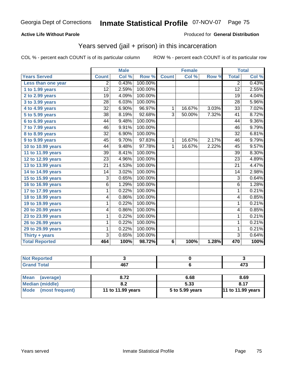### **Active Life Without Parole**

#### Produced for **General Distribution**

## Years served (jail + prison) in this incarceration

|                       |                 | <b>Male</b> |         |                | <b>Female</b> |                     |                         | <b>Total</b> |
|-----------------------|-----------------|-------------|---------|----------------|---------------|---------------------|-------------------------|--------------|
| <b>Years Served</b>   | <b>Count</b>    | Col %       | Row %   | <b>Count</b>   | Col %         | Row %               | <b>Total</b>            | Col %        |
| Less than one year    | $\overline{2}$  | 0.43%       | 100.00% |                |               |                     | $\overline{2}$          | 0.43%        |
| 1 to 1.99 years       | 12              | 2.59%       | 100.00% |                |               |                     | $\overline{12}$         | 2.55%        |
| $2$ to 2.99 years     | 19              | 4.09%       | 100.00% |                |               |                     | 19                      | 4.04%        |
| 3 to 3.99 years       | 28              | 6.03%       | 100.00% |                |               |                     | $\overline{28}$         | 5.96%        |
| 4 to 4.99 years       | $\overline{32}$ | 6.90%       | 96.97%  | 1              | 16.67%        | 3.03%               | $\overline{33}$         | 7.02%        |
| 5 to 5.99 years       | $\overline{38}$ | 8.19%       | 92.68%  | $\overline{3}$ | 50.00%        | 7.32%               | $\overline{41}$         | 8.72%        |
| 6 to 6.99 years       | 44              | 9.48%       | 100.00% |                |               |                     | 44                      | 9.36%        |
| 7 to 7.99 years       | 46              | 9.91%       | 100.00% |                |               |                     | 46                      | 9.79%        |
| 8 to 8.99 years       | 32              | 6.90%       | 100.00% |                |               |                     | 32                      | 6.81%        |
| 9 to 9.99 years       | 45              | 9.70%       | 97.83%  | $\mathbf{1}$   | 16.67%        | 2.17%               | 46                      | 9.79%        |
| 10 to 10.99 years     | 44              | 9.48%       | 97.78%  | 1              | 16.67%        | 2.22%               | $\overline{45}$         | 9.57%        |
| 11 to 11.99 years     | 39              | 8.41%       | 100.00% |                |               |                     | 39                      | 8.30%        |
| 12 to 12.99 years     | $\overline{23}$ | 4.96%       | 100.00% |                |               |                     | $\overline{23}$         | 4.89%        |
| 13 to 13.99 years     | $\overline{21}$ | 4.53%       | 100.00% |                |               |                     | $\overline{21}$         | 4.47%        |
| 14 to 14.99 years     | 14              | 3.02%       | 100.00% |                |               |                     | 14                      | 2.98%        |
| 15 to 15.99 years     | $\overline{3}$  | 0.65%       | 100.00% |                |               |                     | $\overline{3}$          | 0.64%        |
| 16 to 16.99 years     | $\overline{6}$  | 1.29%       | 100.00% |                |               |                     | $\overline{6}$          | 1.28%        |
| 17 to 17.99 years     | 1               | 0.22%       | 100.00% |                |               |                     | 1                       | 0.21%        |
| 18 to 18.99 years     | 4               | 0.86%       | 100.00% |                |               |                     | 4                       | 0.85%        |
| 19 to 19.99 years     | 1               | 0.22%       | 100.00% |                |               |                     | 1                       | 0.21%        |
| 20 to 20.99 years     | 4               | 0.86%       | 100.00% |                |               |                     | $\overline{\mathbf{4}}$ | 0.85%        |
| 23 to 23.99 years     | 1               | 0.22%       | 100.00% |                |               |                     | $\mathbf{1}$            | 0.21%        |
| 26 to 26.99 years     | 1               | 0.22%       | 100.00% |                |               |                     | $\mathbf 1$             | 0.21%        |
| 29 to 29.99 years     | 1               | 0.22%       | 100.00% |                |               |                     | 1                       | 0.21%        |
| Thirty + years        | $\overline{3}$  | 0.65%       | 100.00% |                |               |                     | $\overline{3}$          | 0.64%        |
| <b>Total Reported</b> | 464             | 100%        | 98.72%  | 6              | 100%          | $\overline{1.28\%}$ | 470                     | 100%         |

| <b>Not Reported</b>      |                   |                 |                          |
|--------------------------|-------------------|-----------------|--------------------------|
| <b>Grand Total</b>       | 467               |                 | 473                      |
|                          |                   |                 |                          |
| <b>Mean</b><br>(average) | 8.72              | 6.68            | 8.69                     |
| <b>Median (middle)</b>   | 8.2               | 5.33            | 8.17                     |
| (most frequent)<br>Mode  | 11 to 11.99 years | 5 to 5.99 years | <b>11 to 11.99 years</b> |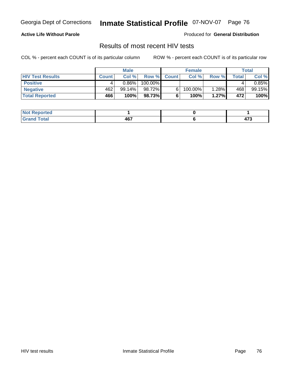### **Active Life Without Parole**

Produced for **General Distribution**

## Results of most recent HIV tests

|                         |              | <b>Male</b>  |         |              | <b>Female</b> |        |              | Total    |
|-------------------------|--------------|--------------|---------|--------------|---------------|--------|--------------|----------|
| <b>HIV Test Results</b> | <b>Count</b> | Col %        | Row %   | <b>Count</b> | Col %         | Row %  | <b>Total</b> | Col %    |
| <b>Positive</b>         |              | $0.86\%$ $ $ | 100.00% |              |               |        |              | $0.85\%$ |
| <b>Negative</b>         | 462          | $99.14\%$    | 98.72%  | 6            | 100.00%       | 1.28%∎ | 468          | 99.15%   |
| <b>Total Reported</b>   | 466          | 100%         | 98.73%  |              | 100%          | 1.27%  | 472          | 100%     |

| <b>Not Reported</b> |     |                         |
|---------------------|-----|-------------------------|
| <b>Total</b>        | 167 | $\rightarrow$           |
| Gran                | 701 | $\cdot$ $\cdot$ $\cdot$ |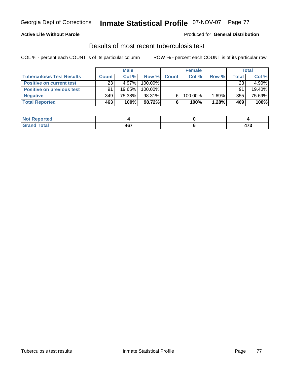### **Active Life Without Parole**

#### Produced for **General Distribution**

## Results of most recent tuberculosis test

|                                  |              | <b>Male</b> |         |              | <b>Female</b> |       |       | Total  |
|----------------------------------|--------------|-------------|---------|--------------|---------------|-------|-------|--------|
| <b>Tuberculosis Test Results</b> | <b>Count</b> | Col%        | Row %   | <b>Count</b> | Col %         | Row % | Total | Col %  |
| <b>Positive on current test</b>  | 23           | $4.97\%$    | 100.00% |              |               |       | 23    | 4.90%  |
| <b>Positive on previous test</b> | 91           | $19.65\%$   | 100.00% |              |               |       | 91    | 19.40% |
| <b>Negative</b>                  | 349          | 75.38%      | 98.31%  |              | 100.00%       | 1.69% | 355   | 75.69% |
| <b>Total Reported</b>            | 463          | 100%        | 98.72%  |              | 100%          | 1.28% | 469   | 100%   |

| <b>Reported</b><br><b>NOT</b> |                   |                       |
|-------------------------------|-------------------|-----------------------|
| <b>Total</b>                  | <b>AG7</b><br>TV. | $\rightarrow$<br>41 J |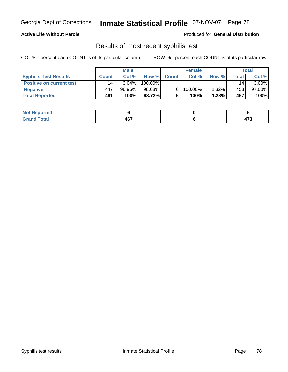### **Active Life Without Parole**

#### Produced for **General Distribution**

## Results of most recent syphilis test

|                                 |              | <b>Male</b> |            |              | <b>Female</b> |       |       | Total     |
|---------------------------------|--------------|-------------|------------|--------------|---------------|-------|-------|-----------|
| <b>Syphilis Test Results</b>    | <b>Count</b> | Col%        | Row %      | <b>Count</b> | Col%          | Row % | Total | Col %     |
| <b>Positive on current test</b> | 14           | $3.04\%$    | $100.00\%$ |              |               |       | 14    | $3.00\%$  |
| <b>Negative</b>                 | 447          | 96.96%      | 98.68%     |              | $100.00\%$    | 1.32% | 453   | $97.00\%$ |
| <b>Total Reported</b>           | 461          | 100%        | 98.72%I    |              | 100%          | 1.28% | 467   | 100%      |

| <b>Not Reported</b> |     |               |
|---------------------|-----|---------------|
| <b>Total</b>        | 467 | $\rightarrow$ |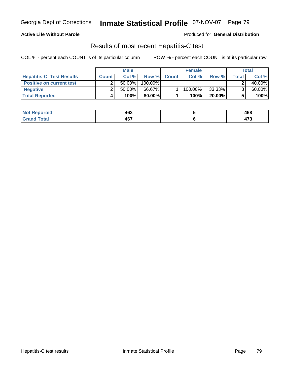### **Active Life Without Parole**

Produced for **General Distribution**

## Results of most recent Hepatitis-C test

|                                 |              | <b>Male</b> |         |             | <b>Female</b> |        |       | Total  |
|---------------------------------|--------------|-------------|---------|-------------|---------------|--------|-------|--------|
| <b>Hepatitis-C Test Results</b> | <b>Count</b> | Col %       |         | Row % Count | Col %         | Row %  | Total | Col %  |
| <b>Positive on current test</b> |              | $50.00\%$   | 100.00% |             |               |        |       | 40.00% |
| <b>Negative</b>                 |              | $50.00\%$   | 66.67%  |             | 100.00%       | 33.33% |       | 60.00% |
| <b>Total Reported</b>           |              | 100%        | 80.00%I |             | 100%          | 20.00% |       | 100%   |

| Not R<br>Reported | 463 | 468                   |
|-------------------|-----|-----------------------|
| 「otal<br>$GT^c$   | 467 | $\rightarrow$<br>71 J |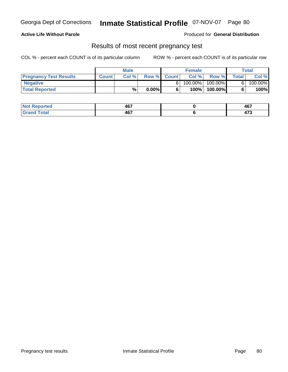### **Active Life Without Parole**

Produced for **General Distribution**

## Results of most recent pregnancy test

|                               |              | <b>Male</b> |          |             | <b>Female</b> |            |              | Total   |
|-------------------------------|--------------|-------------|----------|-------------|---------------|------------|--------------|---------|
| <b>Pregnancy Test Results</b> | <b>Count</b> | Col %       |          | Row % Count | Col %         | Row %      | <b>Total</b> | Col %   |
| <b>Negative</b>               |              |             |          |             | $100.00\%$    | $100.00\%$ |              | 100.00% |
| <b>Total Reported</b>         |              | %           | $0.00\%$ |             | 100%          | 100.00%    |              | 100%    |

| orted | $AC^-$<br>ישד | 467           |
|-------|---------------|---------------|
| fotal | A67           | $\rightarrow$ |
| _____ | 407           | 71 J          |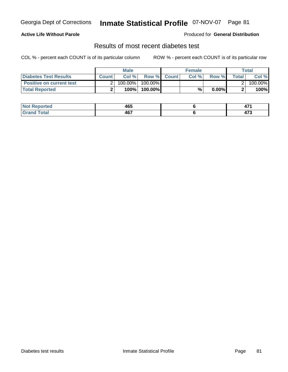### **Active Life Without Parole**

### Produced for **General Distribution**

## Results of most recent diabetes test

|                                 |              | <b>Male</b> |                    | <b>Female</b> |          |         | Total   |
|---------------------------------|--------------|-------------|--------------------|---------------|----------|---------|---------|
| Diabetes Test Results           | <b>Count</b> | Col %       | <b>Row % Count</b> | Col %         | Row %    | Total l | Col %   |
| <b>Positive on current test</b> |              | 100.00%     | 100.00% I          |               |          |         | 100.00% |
| <b>Total Reported</b>           |              | 100%        | 100.00%            | %             | $0.00\%$ |         | 100%    |

| ırted<br>N | 465               | .<br>.                |
|------------|-------------------|-----------------------|
| Total      | <b>AG7</b><br>ישר | $\rightarrow$<br>71 J |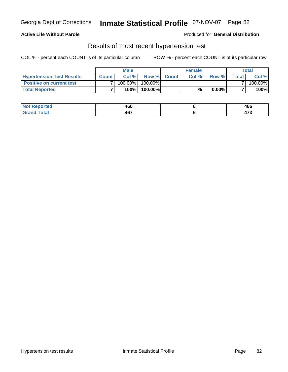### **Active Life Without Parole**

#### Produced for **General Distribution**

## Results of most recent hypertension test

|                                  |              | <b>Male</b> |           |             | <b>Female</b> |          |       | Total   |
|----------------------------------|--------------|-------------|-----------|-------------|---------------|----------|-------|---------|
| <b>Hypertension Test Results</b> | <b>Count</b> | Col %       |           | Row % Count | Col%          | Row %    | Total | Col %   |
| <b>Positive on current test</b>  |              | 100.00%     | 100.00% I |             |               |          |       | 100.00% |
| <b>Total Reported</b>            |              | 100%        | 100.00%   |             | %             | $0.00\%$ |       | 100%    |

| orted<br>NO | 460 | 466                   |
|-------------|-----|-----------------------|
| Cotal<br>.  | 467 | $\rightarrow$<br>71 J |